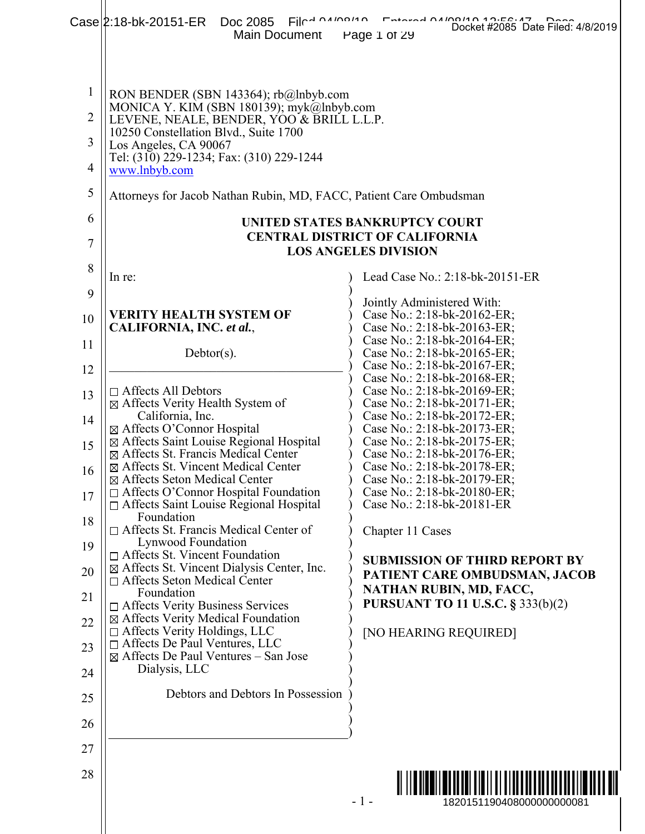|                | Filmanino<br>Case 2:18-bk-20151-ER Doc 2085<br>Main Document                                   | Docket #2085 Date Filed: 4/8/2019<br>Page 1 of 29                    |
|----------------|------------------------------------------------------------------------------------------------|----------------------------------------------------------------------|
| $\mathbf{1}$   | RON BENDER (SBN 143364); rb@lnbyb.com                                                          |                                                                      |
| $\overline{2}$ | MONICA Y. KIM (SBN 180139); myk@lnbyb.com<br>LEVENE, NEALE, BENDER, YOO & BRILL L.L.P.         |                                                                      |
| 3              | 10250 Constellation Blvd., Suite 1700<br>Los Angeles, CA 90067                                 |                                                                      |
| $\overline{4}$ | Tel: (310) 229-1234; Fax: (310) 229-1244<br>www.lnbyb.com                                      |                                                                      |
| 5              | Attorneys for Jacob Nathan Rubin, MD, FACC, Patient Care Ombudsman                             |                                                                      |
| 6              |                                                                                                | UNITED STATES BANKRUPTCY COURT                                       |
| 7              |                                                                                                | <b>CENTRAL DISTRICT OF CALIFORNIA</b><br><b>LOS ANGELES DIVISION</b> |
| 8              | In re:                                                                                         | Lead Case No.: 2:18-bk-20151-ER                                      |
| 9              |                                                                                                | Jointly Administered With:                                           |
| 10             | VERITY HEALTH SYSTEM OF<br>CALIFORNIA, INC. et al.,                                            | Case No.: 2:18-bk-20162-ER;<br>Case No.: 2:18-bk-20163-ER;           |
| 11             |                                                                                                | Case No.: 2:18-bk-20164-ER;                                          |
| 12             | $Dektor(s)$ .                                                                                  | Case No.: 2:18-bk-20165-ER;<br>Case No.: 2:18-bk-20167-ER;           |
| 13             | $\Box$ Affects All Debtors                                                                     | Case No.: 2:18-bk-20168-ER;<br>Case No.: 2:18-bk-20169-ER;           |
|                | ⊠ Affects Verity Health System of                                                              | Case No.: 2:18-bk-20171-ER;                                          |
| 14             | California, Inc.<br>⊠ Affects O'Connor Hospital                                                | Case No.: 2:18-bk-20172-ER;<br>Case No.: 2:18-bk-20173-ER;           |
| 15             | ⊠ Affects Saint Louise Regional Hospital<br>⊠ Affects St. Francis Medical Center               | Case No.: 2:18-bk-20175-ER;<br>Case No.: 2:18-bk-20176-ER;           |
| 16             | ⊠ Affects St. Vincent Medical Center                                                           | Case No.: 2:18-bk-20178-ER;                                          |
|                | ⊠ Affects Seton Medical Center<br>$\Box$ Affects O'Connor Hospital Foundation                  | Case No.: 2:18-bk-20179-ER;<br>Case No.: 2:18-bk-20180-ER;           |
| 17             | □ Affects Saint Louise Regional Hospital                                                       | Case No.: 2:18-bk-20181-ER                                           |
| 18             | Foundation<br>□ Affects St. Francis Medical Center of<br>Lynwood Foundation                    | Chapter 11 Cases                                                     |
| 19             | $\Box$ Affects St. Vincent Foundation<br>$\boxtimes$ Affects St. Vincent Dialysis Center, Inc. | <b>SUBMISSION OF THIRD REPORT BY</b>                                 |
| 20<br>21       | $\Box$ Affects Seton Medical Center<br>Foundation                                              | PATIENT CARE OMBUDSMAN, JACOB<br>NATHAN RUBIN, MD, FACC,             |
| 22             | □ Affects Verity Business Services<br>⊠ Affects Verity Medical Foundation                      | <b>PURSUANT TO 11 U.S.C. § 333(b)(2)</b>                             |
| 23             | $\Box$ Affects Verity Holdings, LLC<br>$\Box$ Affects De Paul Ventures, LLC                    | [NO HEARING REQUIRED]                                                |
| 24             | $\boxtimes$ Affects De Paul Ventures – San Jose<br>Dialysis, LLC                               |                                                                      |
| 25             | Debtors and Debtors In Possession                                                              |                                                                      |
| 26             |                                                                                                |                                                                      |
| 27             |                                                                                                |                                                                      |
| 28             |                                                                                                |                                                                      |
|                |                                                                                                | $-1-$<br>1820151190408000000000081                                   |
|                |                                                                                                |                                                                      |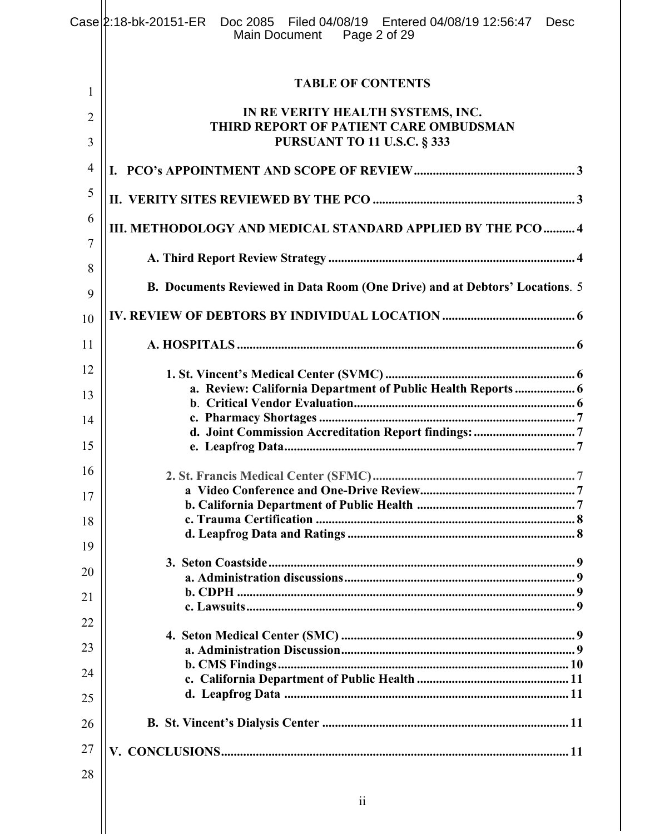|                | Case 2:18-bk-20151-ER Doc 2085 Filed 04/08/19 Entered 04/08/19 12:56:47<br><b>Desc</b><br>Page 2 of 29<br>Main Document |
|----------------|-------------------------------------------------------------------------------------------------------------------------|
| 1              | <b>TABLE OF CONTENTS</b>                                                                                                |
| $\overline{2}$ | IN RE VERITY HEALTH SYSTEMS, INC.                                                                                       |
| 3              | THIRD REPORT OF PATIENT CARE OMBUDSMAN<br><b>PURSUANT TO 11 U.S.C. § 333</b>                                            |
| $\overline{4}$ |                                                                                                                         |
| 5              |                                                                                                                         |
| 6<br>7         | III. METHODOLOGY AND MEDICAL STANDARD APPLIED BY THE PCO  4                                                             |
| 8              |                                                                                                                         |
| 9              | B. Documents Reviewed in Data Room (One Drive) and at Debtors' Locations. 5                                             |
| 10             |                                                                                                                         |
| 11             |                                                                                                                         |
| 12             |                                                                                                                         |
| 13             | a. Review: California Department of Public Health Reports  6                                                            |
| 14             |                                                                                                                         |
| 15             |                                                                                                                         |
|                |                                                                                                                         |
| 16             |                                                                                                                         |
| 17             |                                                                                                                         |
| 18             |                                                                                                                         |
|                |                                                                                                                         |
| 19             |                                                                                                                         |
| 20             |                                                                                                                         |
| 21             |                                                                                                                         |
| 22             |                                                                                                                         |
|                |                                                                                                                         |
| 23             |                                                                                                                         |
| 24             |                                                                                                                         |
| 25             |                                                                                                                         |
| 26             |                                                                                                                         |
| 27             |                                                                                                                         |
| 28             |                                                                                                                         |
|                |                                                                                                                         |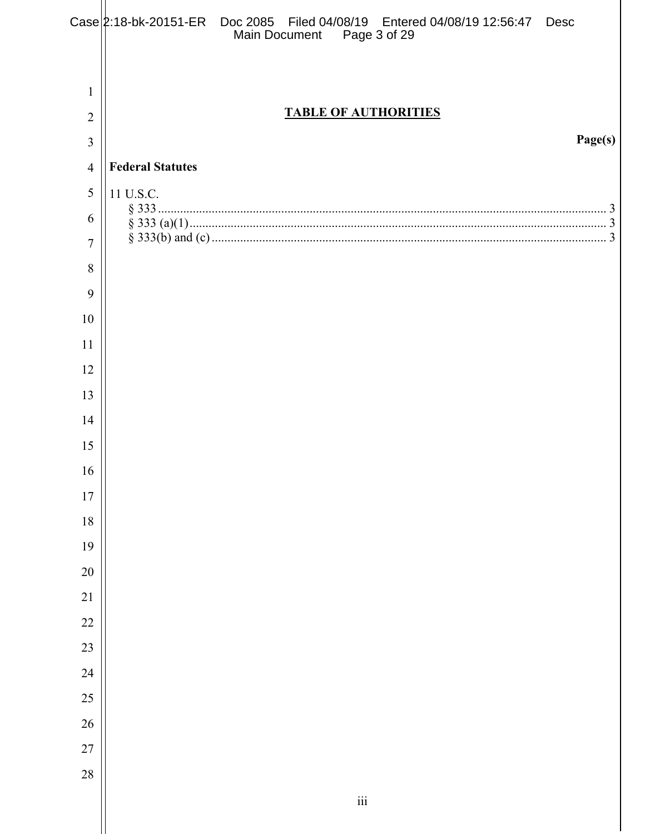|                                     | Case 2:18-bk-20151-ER Doc 2085 Filed 04/08/19 Entered 04/08/19 12:56:47 Desc<br>Main Document  Page 3 of 29 |         |
|-------------------------------------|-------------------------------------------------------------------------------------------------------------|---------|
| $\mathbf{1}$<br>$\overline{2}$<br>3 | <b>TABLE OF AUTHORITIES</b>                                                                                 | Page(s) |
| $\overline{4}$                      | <b>Federal Statutes</b>                                                                                     |         |
| 5                                   | 11 U.S.C.                                                                                                   |         |
| 6                                   |                                                                                                             |         |
| $\overline{7}$                      |                                                                                                             |         |
| 8                                   |                                                                                                             |         |
| 9                                   |                                                                                                             |         |
| 10                                  |                                                                                                             |         |
| 11                                  |                                                                                                             |         |
| 12                                  |                                                                                                             |         |
| 13                                  |                                                                                                             |         |
| 14                                  |                                                                                                             |         |
| 15                                  |                                                                                                             |         |
| 16                                  |                                                                                                             |         |
| $17\,$                              |                                                                                                             |         |
| $18\,$                              |                                                                                                             |         |
| 19                                  |                                                                                                             |         |
| $20\,$                              |                                                                                                             |         |
| 21                                  |                                                                                                             |         |
| 22                                  |                                                                                                             |         |
| 23                                  |                                                                                                             |         |
| 24                                  |                                                                                                             |         |
| 25                                  |                                                                                                             |         |
| 26                                  |                                                                                                             |         |
| $27\,$                              |                                                                                                             |         |
| 28                                  |                                                                                                             |         |
|                                     | $\dddot{\mathbf{i}}$                                                                                        |         |
|                                     |                                                                                                             |         |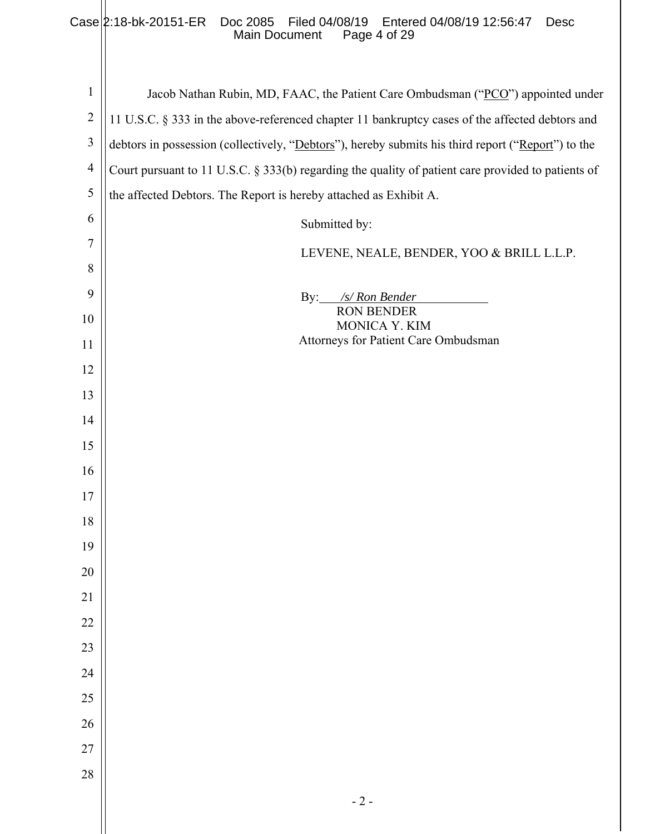#### Case 2:18-bk-20151-ER Doc 2085 Filed 04/08/19 Entered 04/08/19 12:56:47 Desc Main Document Page 4 of 29

| $\mathbf{1}$   | Jacob Nathan Rubin, MD, FAAC, the Patient Care Ombudsman ("PCO") appointed under                   |
|----------------|----------------------------------------------------------------------------------------------------|
| $\overline{2}$ | 11 U.S.C. § 333 in the above-referenced chapter 11 bankruptcy cases of the affected debtors and    |
| $\mathfrak{Z}$ | debtors in possession (collectively, "Debtors"), hereby submits his third report ("Report") to the |
| $\overline{4}$ | Court pursuant to 11 U.S.C. § 333(b) regarding the quality of patient care provided to patients of |
| 5              | the affected Debtors. The Report is hereby attached as Exhibit A.                                  |
| 6              | Submitted by:                                                                                      |
| $\tau$         | LEVENE, NEALE, BENDER, YOO & BRILL L.L.P.                                                          |
| 8              |                                                                                                    |
| 9              | By: $\frac{s}{\text{S}}$ Ron Bender                                                                |
| 10             | <b>RON BENDER</b><br>MONICA Y. KIM                                                                 |
| 11             | Attorneys for Patient Care Ombudsman                                                               |
| 12             |                                                                                                    |
| 13             |                                                                                                    |
| 14             |                                                                                                    |
| 15             |                                                                                                    |
| 16             |                                                                                                    |
| 17             |                                                                                                    |
| 18             |                                                                                                    |
| 19             |                                                                                                    |
| $20\,$         |                                                                                                    |
| $21\,$         |                                                                                                    |
| 22             |                                                                                                    |
| 23             |                                                                                                    |
| 24             |                                                                                                    |
| 25             |                                                                                                    |
| $26\,$         |                                                                                                    |
| $27\,$         |                                                                                                    |
| 28             |                                                                                                    |
|                | $-2-$                                                                                              |
|                |                                                                                                    |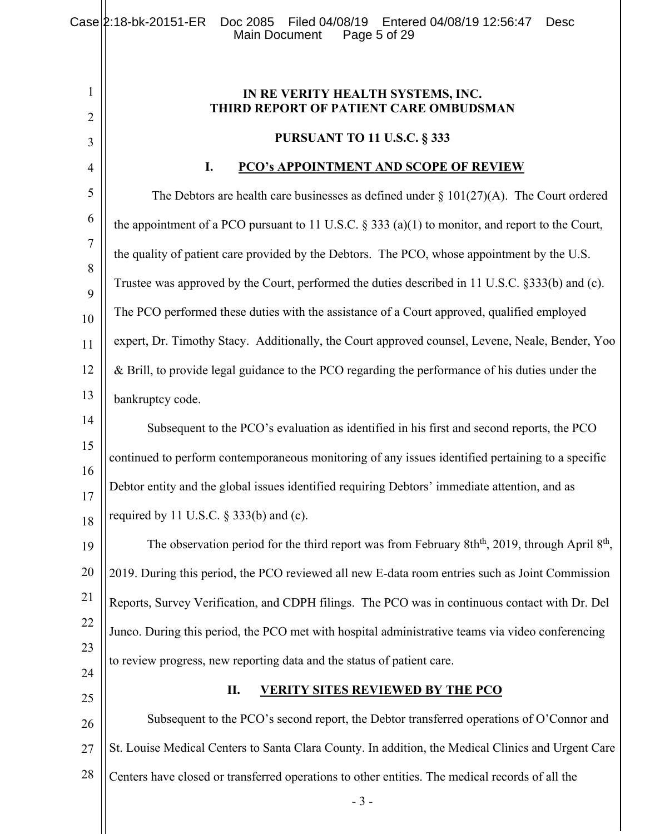- 3 - 1 2 3 4 5 6 7 8 9 10 11 12 13 14 15 16 17 18 19 20 21 22 23 24 25 26 27 28 **IN RE VERITY HEALTH SYSTEMS, INC. THIRD REPORT OF PATIENT CARE OMBUDSMAN PURSUANT TO 11 U.S.C. § 333 I. PCO's APPOINTMENT AND SCOPE OF REVIEW**  The Debtors are health care businesses as defined under  $\S 101(27)(A)$ . The Court ordered the appointment of a PCO pursuant to 11 U.S.C.  $\S 333$  (a)(1) to monitor, and report to the Court, the quality of patient care provided by the Debtors. The PCO, whose appointment by the U.S. Trustee was approved by the Court, performed the duties described in 11 U.S.C. §333(b) and (c). The PCO performed these duties with the assistance of a Court approved, qualified employed expert, Dr. Timothy Stacy. Additionally, the Court approved counsel, Levene, Neale, Bender, Yoo & Brill, to provide legal guidance to the PCO regarding the performance of his duties under the bankruptcy code. Subsequent to the PCO's evaluation as identified in his first and second reports, the PCO continued to perform contemporaneous monitoring of any issues identified pertaining to a specific Debtor entity and the global issues identified requiring Debtors' immediate attention, and as required by 11 U.S.C.  $\S$  333(b) and (c). The observation period for the third report was from February 8th<sup>th</sup>, 2019, through April  $8<sup>th</sup>$ , 2019. During this period, the PCO reviewed all new E-data room entries such as Joint Commission Reports, Survey Verification, and CDPH filings. The PCO was in continuous contact with Dr. Del Junco. During this period, the PCO met with hospital administrative teams via video conferencing to review progress, new reporting data and the status of patient care. **II. VERITY SITES REVIEWED BY THE PCO**  Subsequent to the PCO's second report, the Debtor transferred operations of O'Connor and St. Louise Medical Centers to Santa Clara County. In addition, the Medical Clinics and Urgent Care Centers have closed or transferred operations to other entities. The medical records of all the Case 2:18-bk-20151-ER Doc 2085 Filed 04/08/19 Entered 04/08/19 12:56:47 Desc<br>Main Document Page 5 of 29 Main Document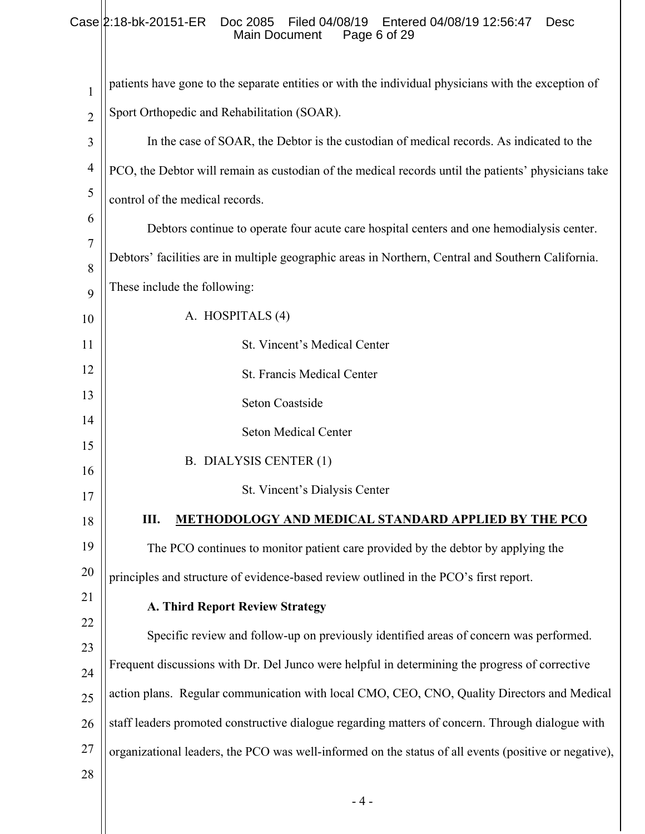#### Case 2:18-bk-20151-ER Doc 2085 Filed 04/08/19 Entered 04/08/19 12:56:47 Desc Main Document Page 6 of 29

| 1              | patients have gone to the separate entities or with the individual physicians with the exception of   |
|----------------|-------------------------------------------------------------------------------------------------------|
| $\overline{2}$ | Sport Orthopedic and Rehabilitation (SOAR).                                                           |
| 3              | In the case of SOAR, the Debtor is the custodian of medical records. As indicated to the              |
| $\overline{4}$ | PCO, the Debtor will remain as custodian of the medical records until the patients' physicians take   |
| 5              | control of the medical records.                                                                       |
| 6              | Debtors continue to operate four acute care hospital centers and one hemodialysis center.             |
| $\overline{7}$ | Debtors' facilities are in multiple geographic areas in Northern, Central and Southern California.    |
| 8              | These include the following:                                                                          |
| 9<br>10        | A. HOSPITALS (4)                                                                                      |
| 11             | St. Vincent's Medical Center                                                                          |
| 12             | St. Francis Medical Center                                                                            |
| 13             |                                                                                                       |
| 14             | Seton Coastside                                                                                       |
| 15             | <b>Seton Medical Center</b>                                                                           |
| 16             | B. DIALYSIS CENTER (1)                                                                                |
| 17             | St. Vincent's Dialysis Center                                                                         |
| 18             | Ш.<br><b>METHODOLOGY AND MEDICAL STANDARD APPLIED BY THE PCO</b>                                      |
| 19             | The PCO continues to monitor patient care provided by the debtor by applying the                      |
| 20             | principles and structure of evidence-based review outlined in the PCO's first report.                 |
| 21             | <b>A. Third Report Review Strategy</b>                                                                |
| 22             | Specific review and follow-up on previously identified areas of concern was performed.                |
| 23<br>24       | Frequent discussions with Dr. Del Junco were helpful in determining the progress of corrective        |
| 25             | action plans. Regular communication with local CMO, CEO, CNO, Quality Directors and Medical           |
| 26             | staff leaders promoted constructive dialogue regarding matters of concern. Through dialogue with      |
| 27             | organizational leaders, the PCO was well-informed on the status of all events (positive or negative), |
| 28             |                                                                                                       |
|                | $-4-$                                                                                                 |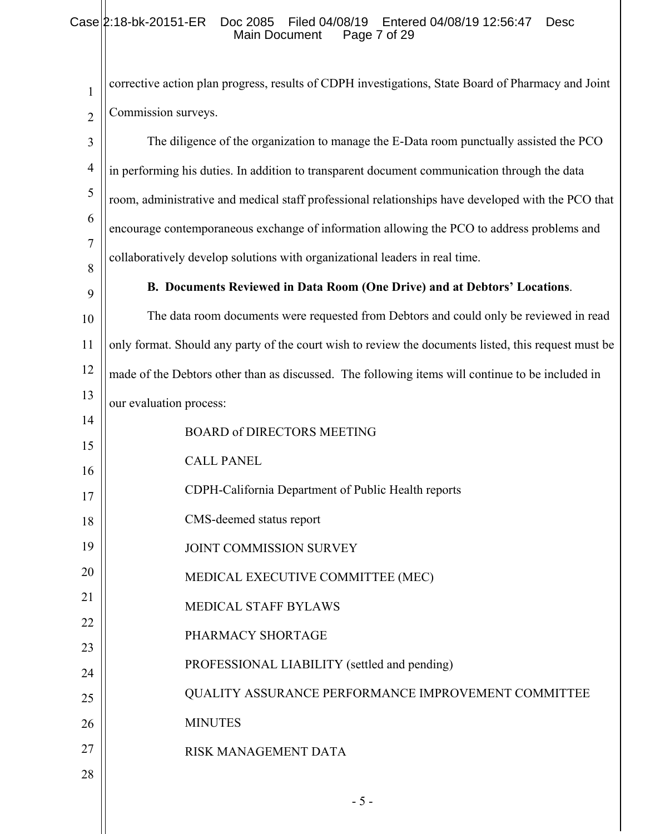### Case 2:18-bk-20151-ER Doc 2085 Filed 04/08/19 Entered 04/08/19 12:56:47 Desc Main Document Page 7 of 29

| 1                   | corrective action plan progress, results of CDPH investigations, State Board of Pharmacy and Joint   |
|---------------------|------------------------------------------------------------------------------------------------------|
| $\overline{2}$      | Commission surveys.                                                                                  |
| 3                   | The diligence of the organization to manage the E-Data room punctually assisted the PCO              |
| $\overline{4}$      | in performing his duties. In addition to transparent document communication through the data         |
| 5                   | room, administrative and medical staff professional relationships have developed with the PCO that   |
| 6                   | encourage contemporaneous exchange of information allowing the PCO to address problems and           |
| $\overline{7}$<br>8 | collaboratively develop solutions with organizational leaders in real time.                          |
| 9                   | B. Documents Reviewed in Data Room (One Drive) and at Debtors' Locations.                            |
| 10                  | The data room documents were requested from Debtors and could only be reviewed in read               |
| 11                  | only format. Should any party of the court wish to review the documents listed, this request must be |
| 12                  | made of the Debtors other than as discussed. The following items will continue to be included in     |
| 13                  | our evaluation process:                                                                              |
| 14                  | <b>BOARD of DIRECTORS MEETING</b>                                                                    |
| 15<br>16            | <b>CALL PANEL</b>                                                                                    |
| 17                  | CDPH-California Department of Public Health reports                                                  |
| 18                  | CMS-deemed status report                                                                             |
| 19                  | JOINT COMMISSION SURVEY                                                                              |
| 20                  | MEDICAL EXECUTIVE COMMITTEE (MEC)                                                                    |
| 21                  | <b>MEDICAL STAFF BYLAWS</b>                                                                          |
| 22                  | PHARMACY SHORTAGE                                                                                    |
| 23                  | PROFESSIONAL LIABILITY (settled and pending)                                                         |
| 24<br>25            | QUALITY ASSURANCE PERFORMANCE IMPROVEMENT COMMITTEE                                                  |
| 26                  | <b>MINUTES</b>                                                                                       |
| 27                  | RISK MANAGEMENT DATA                                                                                 |
| 28                  |                                                                                                      |
|                     | $-5-$                                                                                                |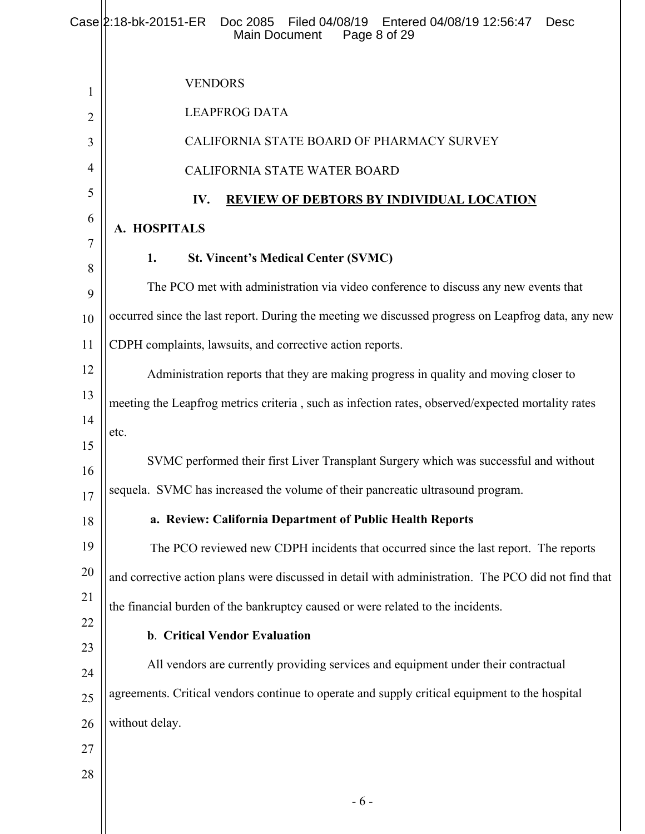|                | Case 2:18-bk-20151-ER<br>Doc 2085<br>Filed 04/08/19   Entered 04/08/19 12:56:47<br><b>Desc</b><br>Main Document<br>Page 8 of 29 |
|----------------|---------------------------------------------------------------------------------------------------------------------------------|
| 1              | <b>VENDORS</b>                                                                                                                  |
| $\overline{2}$ | <b>LEAPFROG DATA</b>                                                                                                            |
| 3              | CALIFORNIA STATE BOARD OF PHARMACY SURVEY                                                                                       |
| 4              | CALIFORNIA STATE WATER BOARD                                                                                                    |
| 5              | <b>REVIEW OF DEBTORS BY INDIVIDUAL LOCATION</b><br>IV.                                                                          |
| 6              | A. HOSPITALS                                                                                                                    |
| 7              | 1.<br><b>St. Vincent's Medical Center (SVMC)</b>                                                                                |
| 8              | The PCO met with administration via video conference to discuss any new events that                                             |
| 9<br>10        | occurred since the last report. During the meeting we discussed progress on Leapfrog data, any new                              |
| 11             | CDPH complaints, lawsuits, and corrective action reports.                                                                       |
| 12             | Administration reports that they are making progress in quality and moving closer to                                            |
| 13             | meeting the Leapfrog metrics criteria, such as infection rates, observed/expected mortality rates                               |
| 14             | etc.                                                                                                                            |
| 15             |                                                                                                                                 |
| 16             | SVMC performed their first Liver Transplant Surgery which was successful and without                                            |
| 17             | sequela. SVMC has increased the volume of their pancreatic ultrasound program.                                                  |
| 18             | a. Review: California Department of Public Health Reports                                                                       |
| 19             | The PCO reviewed new CDPH incidents that occurred since the last report. The reports                                            |
| 20             | and corrective action plans were discussed in detail with administration. The PCO did not find that                             |
| 21<br>22       | the financial burden of the bankruptcy caused or were related to the incidents.                                                 |
| 23             | b. Critical Vendor Evaluation                                                                                                   |
| 24             | All vendors are currently providing services and equipment under their contractual                                              |
| 25             | agreements. Critical vendors continue to operate and supply critical equipment to the hospital                                  |
| 26             | without delay.                                                                                                                  |
| 27             |                                                                                                                                 |
| 28             |                                                                                                                                 |
|                | $-6-$                                                                                                                           |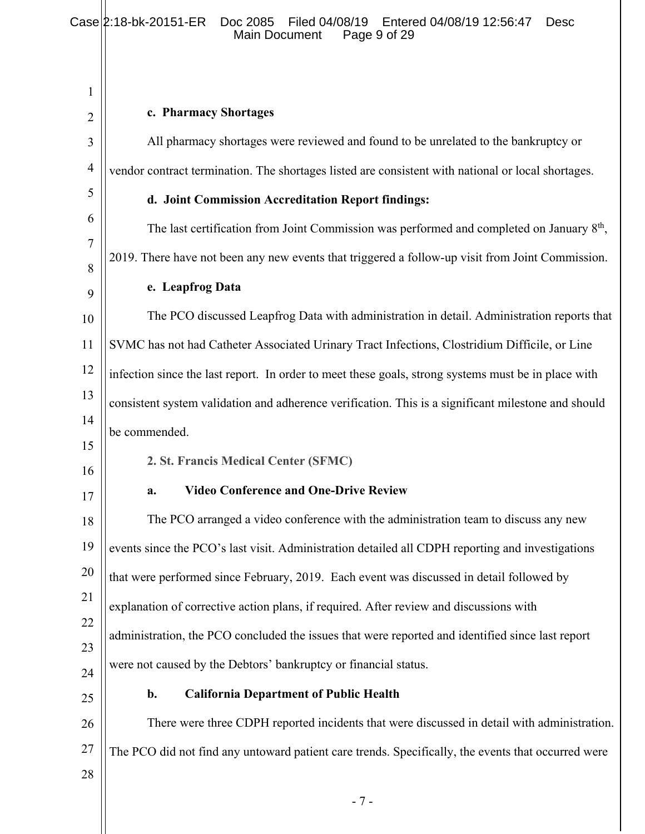#### Case 2:18-bk-20151-ER Doc 2085 Filed 04/08/19 Entered 04/08/19 12:56:47 Desc Main Document Page 9 of 29

| 1              |                                                                                                     |
|----------------|-----------------------------------------------------------------------------------------------------|
| $\overline{c}$ | c. Pharmacy Shortages                                                                               |
| 3              | All pharmacy shortages were reviewed and found to be unrelated to the bankruptcy or                 |
| $\overline{4}$ | vendor contract termination. The shortages listed are consistent with national or local shortages.  |
| 5              | d. Joint Commission Accreditation Report findings:                                                  |
| 6              | The last certification from Joint Commission was performed and completed on January $8th$ ,         |
| 7              | 2019. There have not been any new events that triggered a follow-up visit from Joint Commission.    |
| 8<br>9         | e. Leapfrog Data                                                                                    |
| 10             | The PCO discussed Leapfrog Data with administration in detail. Administration reports that          |
| 11             | SVMC has not had Catheter Associated Urinary Tract Infections, Clostridium Difficile, or Line       |
| 12             | infection since the last report. In order to meet these goals, strong systems must be in place with |
| 13             | consistent system validation and adherence verification. This is a significant milestone and should |
| 14             | be commended.                                                                                       |
| 15<br>16       | 2. St. Francis Medical Center (SFMC)                                                                |
| 17             | <b>Video Conference and One-Drive Review</b><br>a.                                                  |
| 18             | The PCO arranged a video conference with the administration team to discuss any new                 |
| 19             | events since the PCO's last visit. Administration detailed all CDPH reporting and investigations    |
| 20             | that were performed since February, 2019. Each event was discussed in detail followed by            |
| 21             | explanation of corrective action plans, if required. After review and discussions with              |
| 22             | administration, the PCO concluded the issues that were reported and identified since last report    |
| 23<br>24       | were not caused by the Debtors' bankruptcy or financial status.                                     |
| 25             | <b>California Department of Public Health</b><br>b.                                                 |
| 26             | There were three CDPH reported incidents that were discussed in detail with administration.         |
| 27             | The PCO did not find any untoward patient care trends. Specifically, the events that occurred were  |
| 28             |                                                                                                     |
|                | $-7-$                                                                                               |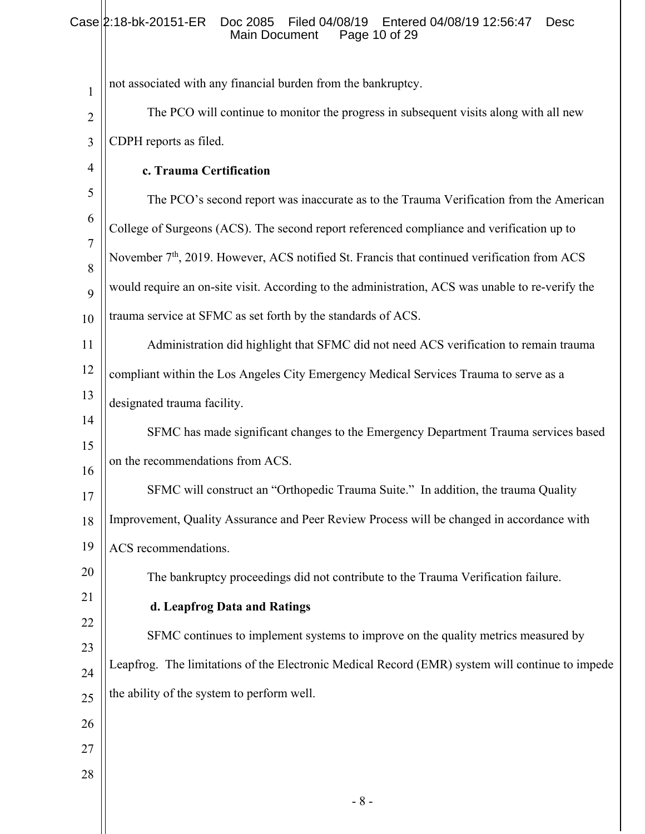### Case 2:18-bk-20151-ER Doc 2085 Filed 04/08/19 Entered 04/08/19 12:56:47 Desc Main Document Page 10 of 29

| $\mathbf{1}$   | not associated with any financial burden from the bankruptcy.                                           |
|----------------|---------------------------------------------------------------------------------------------------------|
| $\overline{2}$ | The PCO will continue to monitor the progress in subsequent visits along with all new                   |
| 3              | CDPH reports as filed.                                                                                  |
| $\overline{4}$ | c. Trauma Certification                                                                                 |
| 5              | The PCO's second report was inaccurate as to the Trauma Verification from the American                  |
| 6              | College of Surgeons (ACS). The second report referenced compliance and verification up to               |
| $\overline{7}$ | November 7 <sup>th</sup> , 2019. However, ACS notified St. Francis that continued verification from ACS |
| 8<br>9         | would require an on-site visit. According to the administration, ACS was unable to re-verify the        |
| 10             | trauma service at SFMC as set forth by the standards of ACS.                                            |
| 11             | Administration did highlight that SFMC did not need ACS verification to remain trauma                   |
| 12             | compliant within the Los Angeles City Emergency Medical Services Trauma to serve as a                   |
| 13             | designated trauma facility.                                                                             |
| 14             | SFMC has made significant changes to the Emergency Department Trauma services based                     |
| 15             | on the recommendations from ACS.                                                                        |
| 16             | SFMC will construct an "Orthopedic Trauma Suite." In addition, the trauma Quality                       |
| 17             | Improvement, Quality Assurance and Peer Review Process will be changed in accordance with               |
| 18<br>19       |                                                                                                         |
| 20             | ACS recommendations.                                                                                    |
| 21             | The bankruptcy proceedings did not contribute to the Trauma Verification failure.                       |
| 22             | d. Leapfrog Data and Ratings                                                                            |
| 23             | SFMC continues to implement systems to improve on the quality metrics measured by                       |
| 24             | Leapfrog. The limitations of the Electronic Medical Record (EMR) system will continue to impede         |
| 25             | the ability of the system to perform well.                                                              |
| 26             |                                                                                                         |
| 27             |                                                                                                         |
| 28             |                                                                                                         |
|                | $-8-$                                                                                                   |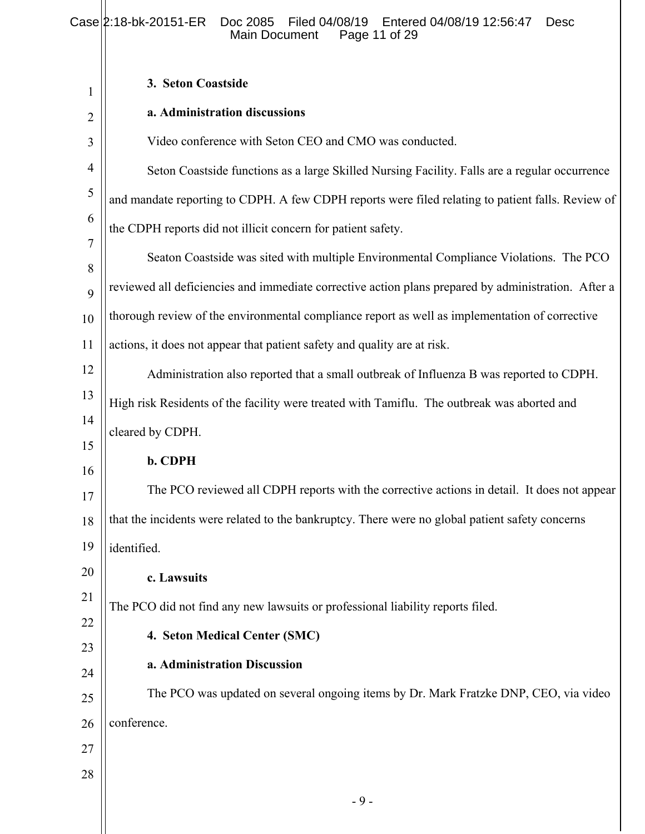#### Case 2:18-bk-20151-ER Doc 2085 Filed 04/08/19 Entered 04/08/19 12:56:47 Desc Main Document Page 11 of 29

Ш

| 1              | 3. Seton Coastside                                                                                  |
|----------------|-----------------------------------------------------------------------------------------------------|
| 2              | a. Administration discussions                                                                       |
| 3              | Video conference with Seton CEO and CMO was conducted.                                              |
| $\overline{4}$ | Seton Coastside functions as a large Skilled Nursing Facility. Falls are a regular occurrence       |
| 5              | and mandate reporting to CDPH. A few CDPH reports were filed relating to patient falls. Review of   |
| 6              | the CDPH reports did not illicit concern for patient safety.                                        |
| 7<br>8         | Seaton Coastside was sited with multiple Environmental Compliance Violations. The PCO               |
| 9              | reviewed all deficiencies and immediate corrective action plans prepared by administration. After a |
| 10             | thorough review of the environmental compliance report as well as implementation of corrective      |
| 11             | actions, it does not appear that patient safety and quality are at risk.                            |
| 12             | Administration also reported that a small outbreak of Influenza B was reported to CDPH.             |
| 13             | High risk Residents of the facility were treated with Tamiflu. The outbreak was aborted and         |
| 14             | cleared by CDPH.                                                                                    |
| 15<br>16       | b. CDPH                                                                                             |
| 17             | The PCO reviewed all CDPH reports with the corrective actions in detail. It does not appear         |
| 18             | that the incidents were related to the bankruptcy. There were no global patient safety concerns     |
| 19             | identified.                                                                                         |
| 20             | c. Lawsuits                                                                                         |
| 21             | The PCO did not find any new lawsuits or professional liability reports filed.                      |
| 22             | 4. Seton Medical Center (SMC)                                                                       |
| 23             | a. Administration Discussion                                                                        |
| 24             | The PCO was updated on several ongoing items by Dr. Mark Fratzke DNP, CEO, via video                |
| 25<br>26       | conference.                                                                                         |
| 27             |                                                                                                     |
| 28             |                                                                                                     |
|                | $-9-$                                                                                               |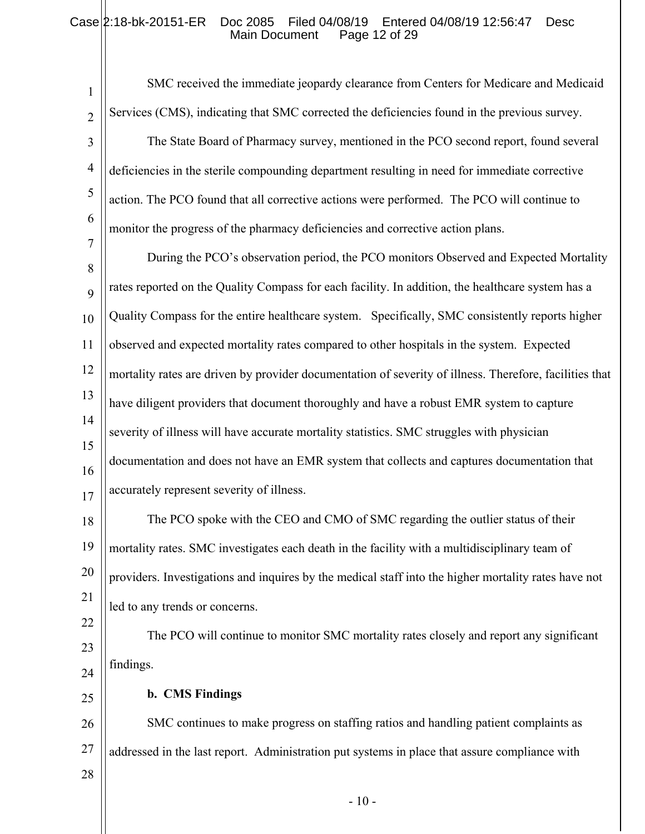### Case 2:18-bk-20151-ER Doc 2085 Filed 04/08/19 Entered 04/08/19 12:56:47 Desc Main Document Page 12 of 29

| $\mathbf{1}$        | SMC received the immediate jeopardy clearance from Centers for Medicare and Medicaid                    |
|---------------------|---------------------------------------------------------------------------------------------------------|
| $\overline{2}$      | Services (CMS), indicating that SMC corrected the deficiencies found in the previous survey.            |
| 3                   | The State Board of Pharmacy survey, mentioned in the PCO second report, found several                   |
| $\overline{4}$      | deficiencies in the sterile compounding department resulting in need for immediate corrective           |
| 5                   | action. The PCO found that all corrective actions were performed. The PCO will continue to              |
| 6                   | monitor the progress of the pharmacy deficiencies and corrective action plans.                          |
| $\overline{7}$<br>8 | During the PCO's observation period, the PCO monitors Observed and Expected Mortality                   |
| 9                   | rates reported on the Quality Compass for each facility. In addition, the healthcare system has a       |
| 10                  | Quality Compass for the entire healthcare system. Specifically, SMC consistently reports higher         |
| 11                  | observed and expected mortality rates compared to other hospitals in the system. Expected               |
| 12                  | mortality rates are driven by provider documentation of severity of illness. Therefore, facilities that |
| 13                  | have diligent providers that document thoroughly and have a robust EMR system to capture                |
| 14                  | severity of illness will have accurate mortality statistics. SMC struggles with physician               |
| 15<br>16            | documentation and does not have an EMR system that collects and captures documentation that             |
| 17                  | accurately represent severity of illness.                                                               |
| 18                  | The PCO spoke with the CEO and CMO of SMC regarding the outlier status of their                         |
| 19                  | mortality rates. SMC investigates each death in the facility with a multidisciplinary team of           |
| 20                  | providers. Investigations and inquires by the medical staff into the higher mortality rates have not    |
| 21                  | led to any trends or concerns.                                                                          |
| 22<br>23            | The PCO will continue to monitor SMC mortality rates closely and report any significant                 |
| 24                  | findings.                                                                                               |
| 25                  | <b>b.</b> CMS Findings                                                                                  |
| 26                  | SMC continues to make progress on staffing ratios and handling patient complaints as                    |
| 27                  | addressed in the last report. Administration put systems in place that assure compliance with           |
| 28                  |                                                                                                         |
|                     | $-10-$                                                                                                  |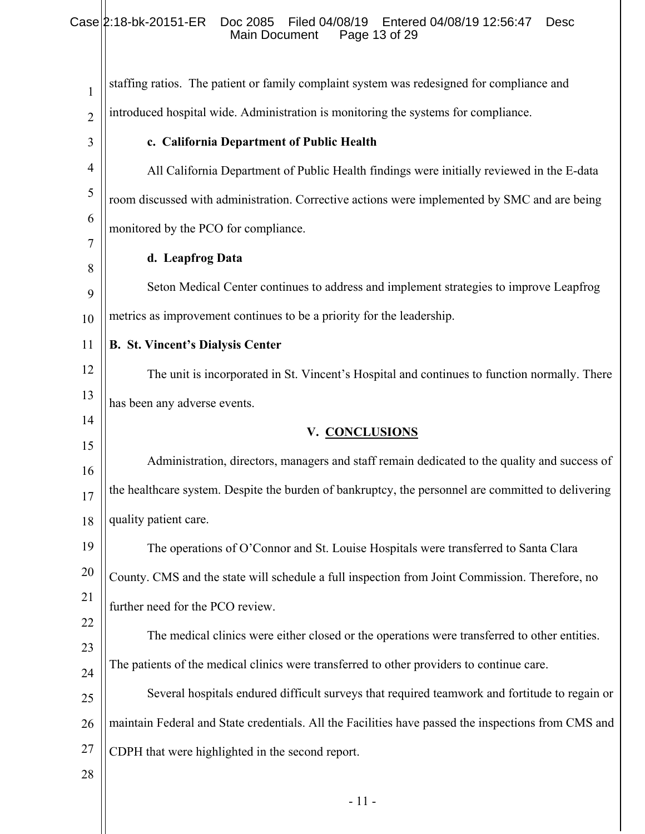### Case 2:18-bk-20151-ER Doc 2085 Filed 04/08/19 Entered 04/08/19 12:56:47 Desc Main Document Page 13 of 29

| 1              | staffing ratios. The patient or family complaint system was redesigned for compliance and           |
|----------------|-----------------------------------------------------------------------------------------------------|
| $\overline{2}$ | introduced hospital wide. Administration is monitoring the systems for compliance.                  |
| 3              | c. California Department of Public Health                                                           |
| $\overline{4}$ | All California Department of Public Health findings were initially reviewed in the E-data           |
| 5              | room discussed with administration. Corrective actions were implemented by SMC and are being        |
| 6              | monitored by the PCO for compliance.                                                                |
| 7<br>8         | d. Leapfrog Data                                                                                    |
| 9              | Seton Medical Center continues to address and implement strategies to improve Leapfrog              |
| 10             | metrics as improvement continues to be a priority for the leadership.                               |
| 11             | <b>B. St. Vincent's Dialysis Center</b>                                                             |
| 12             | The unit is incorporated in St. Vincent's Hospital and continues to function normally. There        |
| 13             | has been any adverse events.                                                                        |
| 14             | V. CONCLUSIONS                                                                                      |
| 15<br>16       | Administration, directors, managers and staff remain dedicated to the quality and success of        |
| 17             | the healthcare system. Despite the burden of bankruptcy, the personnel are committed to delivering  |
| 18             | quality patient care.                                                                               |
| 19             | The operations of O'Connor and St. Louise Hospitals were transferred to Santa Clara                 |
| 20             | County. CMS and the state will schedule a full inspection from Joint Commission. Therefore, no      |
| 21             | further need for the PCO review.                                                                    |
| 22             | The medical clinics were either closed or the operations were transferred to other entities.        |
| 23<br>24       | The patients of the medical clinics were transferred to other providers to continue care.           |
| 25             | Several hospitals endured difficult surveys that required teamwork and fortitude to regain or       |
| 26             | maintain Federal and State credentials. All the Facilities have passed the inspections from CMS and |
| 27             | CDPH that were highlighted in the second report.                                                    |
| 28             |                                                                                                     |
|                | 11                                                                                                  |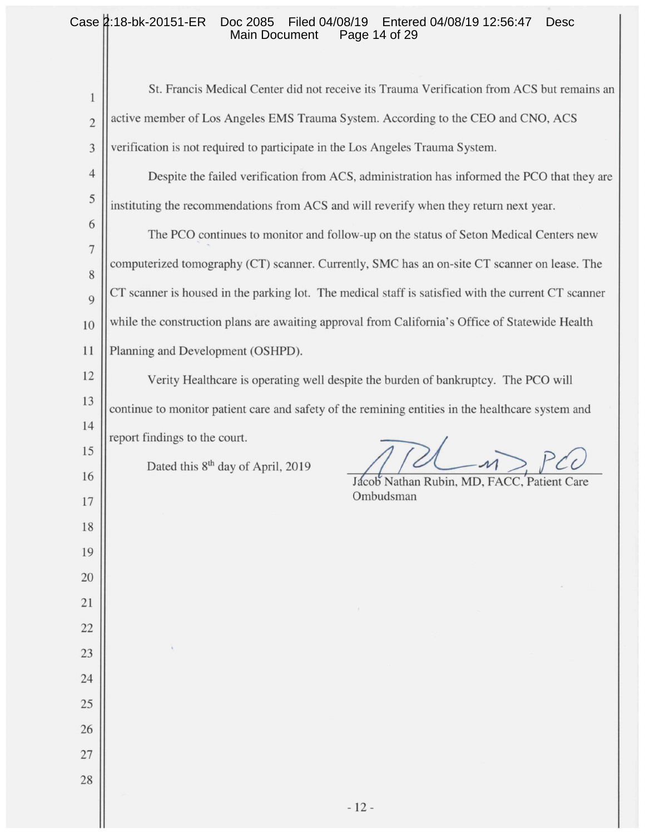#### Case 2:18-bk-20151-ER Doc 2085 Filed 04/08/19 Entered 04/08/19 12:56:47 Desc Main Document Page 14 of 29

| 1              | St. Francis Medical Center did not receive its Trauma Verification from ACS but remains an          |  |  |  |
|----------------|-----------------------------------------------------------------------------------------------------|--|--|--|
| $\overline{c}$ | active member of Los Angeles EMS Trauma System. According to the CEO and CNO, ACS                   |  |  |  |
| 3              | verification is not required to participate in the Los Angeles Trauma System.                       |  |  |  |
| $\overline{4}$ | Despite the failed verification from ACS, administration has informed the PCO that they are         |  |  |  |
| 5              | instituting the recommendations from ACS and will reverify when they return next year.              |  |  |  |
| 6              | The PCO continues to monitor and follow-up on the status of Seton Medical Centers new               |  |  |  |
| $\overline{7}$ | computerized tomography (CT) scanner. Currently, SMC has an on-site CT scanner on lease. The        |  |  |  |
| 8              | CT scanner is housed in the parking lot. The medical staff is satisfied with the current CT scanner |  |  |  |
| 9              |                                                                                                     |  |  |  |
| 10             | while the construction plans are awaiting approval from California's Office of Statewide Health     |  |  |  |
| 11             | Planning and Development (OSHPD).                                                                   |  |  |  |
| 12             | Verity Healthcare is operating well despite the burden of bankruptcy. The PCO will                  |  |  |  |
| 13<br>14       | continue to monitor patient care and safety of the remining entities in the healthcare system and   |  |  |  |
| 15             | report findings to the court.                                                                       |  |  |  |
| 16             | Dated this 8 <sup>th</sup> day of April, 2019<br>Jácob Nathan Rubin, MD, FACC, Patient Care         |  |  |  |
| 17             | Ombudsman                                                                                           |  |  |  |
| 18             |                                                                                                     |  |  |  |
| 19             |                                                                                                     |  |  |  |
| 20             |                                                                                                     |  |  |  |
| 21             | $\pm$                                                                                               |  |  |  |
| 22             |                                                                                                     |  |  |  |
| 23             |                                                                                                     |  |  |  |
| 24             |                                                                                                     |  |  |  |
| 25             |                                                                                                     |  |  |  |
| 26             |                                                                                                     |  |  |  |
| 27             |                                                                                                     |  |  |  |
| 28             |                                                                                                     |  |  |  |
|                | $-12-$                                                                                              |  |  |  |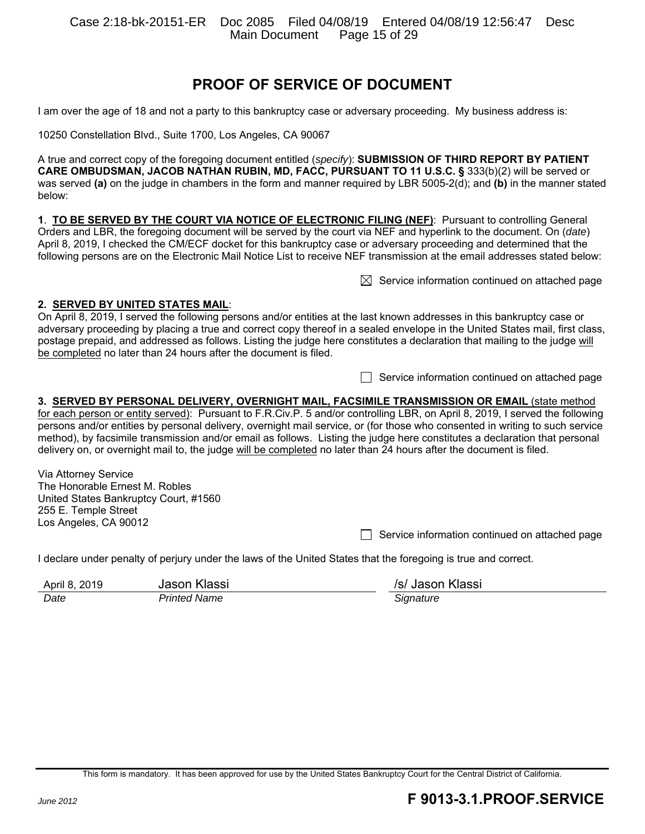Case 2:18-bk-20151-ER Doc 2085 Filed 04/08/19 Entered 04/08/19 12:56:47 Desc Main Document

## **PROOF OF SERVICE OF DOCUMENT**

I am over the age of 18 and not a party to this bankruptcy case or adversary proceeding. My business address is:

10250 Constellation Blvd., Suite 1700, Los Angeles, CA 90067

A true and correct copy of the foregoing document entitled (*specify*): **SUBMISSION OF THIRD REPORT BY PATIENT CARE OMBUDSMAN, JACOB NATHAN RUBIN, MD, FACC, PURSUANT TO 11 U.S.C. §** 333(b)(2) will be served or was served **(a)** on the judge in chambers in the form and manner required by LBR 5005-2(d); and **(b)** in the manner stated below:

**1**. **TO BE SERVED BY THE COURT VIA NOTICE OF ELECTRONIC FILING (NEF)**: Pursuant to controlling General Orders and LBR, the foregoing document will be served by the court via NEF and hyperlink to the document. On (*date*) April 8, 2019, I checked the CM/ECF docket for this bankruptcy case or adversary proceeding and determined that the following persons are on the Electronic Mail Notice List to receive NEF transmission at the email addresses stated below:

 $\boxtimes$  Service information continued on attached page

#### **2. SERVED BY UNITED STATES MAIL**:

On April 8, 2019, I served the following persons and/or entities at the last known addresses in this bankruptcy case or adversary proceeding by placing a true and correct copy thereof in a sealed envelope in the United States mail, first class, postage prepaid, and addressed as follows. Listing the judge here constitutes a declaration that mailing to the judge will be completed no later than 24 hours after the document is filed.

 $\Box$  Service information continued on attached page

**3. SERVED BY PERSONAL DELIVERY, OVERNIGHT MAIL, FACSIMILE TRANSMISSION OR EMAIL** (state method for each person or entity served): Pursuant to F.R.Civ.P. 5 and/or controlling LBR, on April 8, 2019, I served the following persons and/or entities by personal delivery, overnight mail service, or (for those who consented in writing to such service method), by facsimile transmission and/or email as follows. Listing the judge here constitutes a declaration that personal delivery on, or overnight mail to, the judge will be completed no later than 24 hours after the document is filed.

Via Attorney Service The Honorable Ernest M. Robles United States Bankruptcy Court, #1560 255 E. Temple Street Los Angeles, CA 90012

 $\Box$  Service information continued on attached page

I declare under penalty of perjury under the laws of the United States that the foregoing is true and correct.

| April 8, 2019 | Jason Klassi | /s/ Jason Klassi |
|---------------|--------------|------------------|
| Date          | Printed Name | Sianature        |

This form is mandatory. It has been approved for use by the United States Bankruptcy Court for the Central District of California.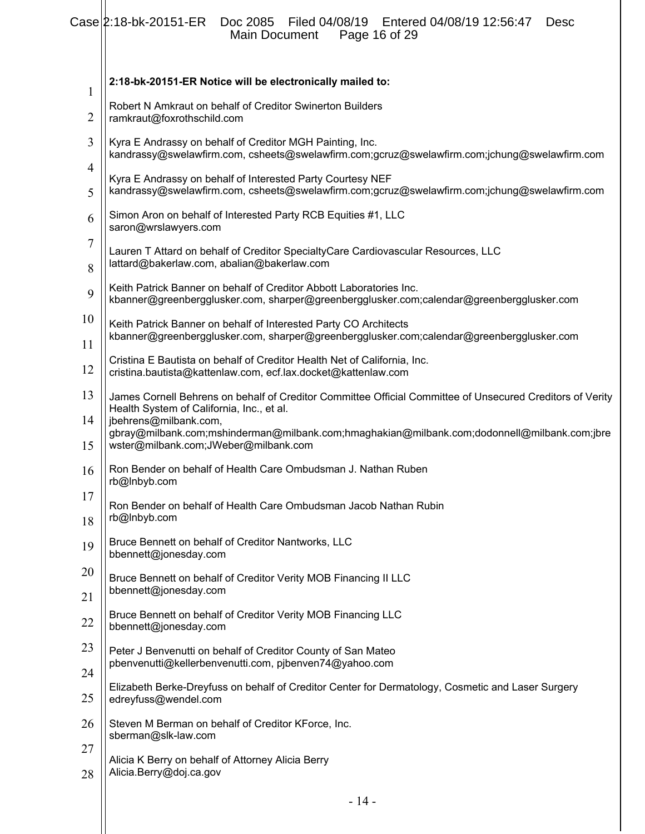|          | $Case  2:18-bk-20151-ER$<br>Doc 2085<br>Filed 04/08/19   Entered 04/08/19   12:56:47<br>Desc<br>Page 16 of 29<br>Main Document                                  |  |  |  |
|----------|-----------------------------------------------------------------------------------------------------------------------------------------------------------------|--|--|--|
| 1        | 2:18-bk-20151-ER Notice will be electronically mailed to:                                                                                                       |  |  |  |
| 2        | Robert N Amkraut on behalf of Creditor Swinerton Builders<br>ramkraut@foxrothschild.com                                                                         |  |  |  |
| 3        | Kyra E Andrassy on behalf of Creditor MGH Painting, Inc.<br>kandrassy@swelawfirm.com, csheets@swelawfirm.com;gcruz@swelawfirm.com;jchung@swelawfirm.com         |  |  |  |
| 4<br>5   | Kyra E Andrassy on behalf of Interested Party Courtesy NEF<br>kandrassy@swelawfirm.com, csheets@swelawfirm.com;gcruz@swelawfirm.com;jchung@swelawfirm.com       |  |  |  |
| 6        | Simon Aron on behalf of Interested Party RCB Equities #1, LLC<br>saron@wrslawyers.com                                                                           |  |  |  |
| 7<br>8   | Lauren T Attard on behalf of Creditor SpecialtyCare Cardiovascular Resources, LLC<br>lattard@bakerlaw.com, abalian@bakerlaw.com                                 |  |  |  |
| 9        | Keith Patrick Banner on behalf of Creditor Abbott Laboratories Inc.<br>kbanner@greenbergglusker.com, sharper@greenbergglusker.com;calendar@greenbergglusker.com |  |  |  |
| 10<br>11 | Keith Patrick Banner on behalf of Interested Party CO Architects<br>kbanner@greenbergglusker.com, sharper@greenbergglusker.com;calendar@greenbergglusker.com    |  |  |  |
| 12       | Cristina E Bautista on behalf of Creditor Health Net of California, Inc.<br>cristina.bautista@kattenlaw.com, ecf.lax.docket@kattenlaw.com                       |  |  |  |
| 13       | James Cornell Behrens on behalf of Creditor Committee Official Committee of Unsecured Creditors of Verity<br>Health System of California, Inc., et al.          |  |  |  |
| 14<br>15 | jbehrens@milbank.com,<br>gbray@milbank.com;mshinderman@milbank.com;hmaghakian@milbank.com;dodonnell@milbank.com;jbre<br>wster@milbank.com;JWeber@milbank.com    |  |  |  |
| 16       | Ron Bender on behalf of Health Care Ombudsman J. Nathan Ruben<br>rb@Inbyb.com                                                                                   |  |  |  |
| 17<br>18 | Ron Bender on behalf of Health Care Ombudsman Jacob Nathan Rubin<br>rb@Inbyb.com                                                                                |  |  |  |
| 19       | Bruce Bennett on behalf of Creditor Nantworks, LLC<br>bbennett@jonesday.com                                                                                     |  |  |  |
| 20       | Bruce Bennett on behalf of Creditor Verity MOB Financing II LLC                                                                                                 |  |  |  |
| 21       | bbennett@jonesday.com                                                                                                                                           |  |  |  |
| 22       | Bruce Bennett on behalf of Creditor Verity MOB Financing LLC<br>bbennett@jonesday.com                                                                           |  |  |  |
| 23       | Peter J Benvenutti on behalf of Creditor County of San Mateo<br>pbenvenutti@kellerbenvenutti.com, pjbenven74@yahoo.com                                          |  |  |  |
| 24<br>25 | Elizabeth Berke-Dreyfuss on behalf of Creditor Center for Dermatology, Cosmetic and Laser Surgery<br>edreyfuss@wendel.com                                       |  |  |  |
| 26       | Steven M Berman on behalf of Creditor KForce, Inc.                                                                                                              |  |  |  |
| 27       | sberman@slk-law.com<br>Alicia K Berry on behalf of Attorney Alicia Berry                                                                                        |  |  |  |
| 28       | Alicia.Berry@doj.ca.gov                                                                                                                                         |  |  |  |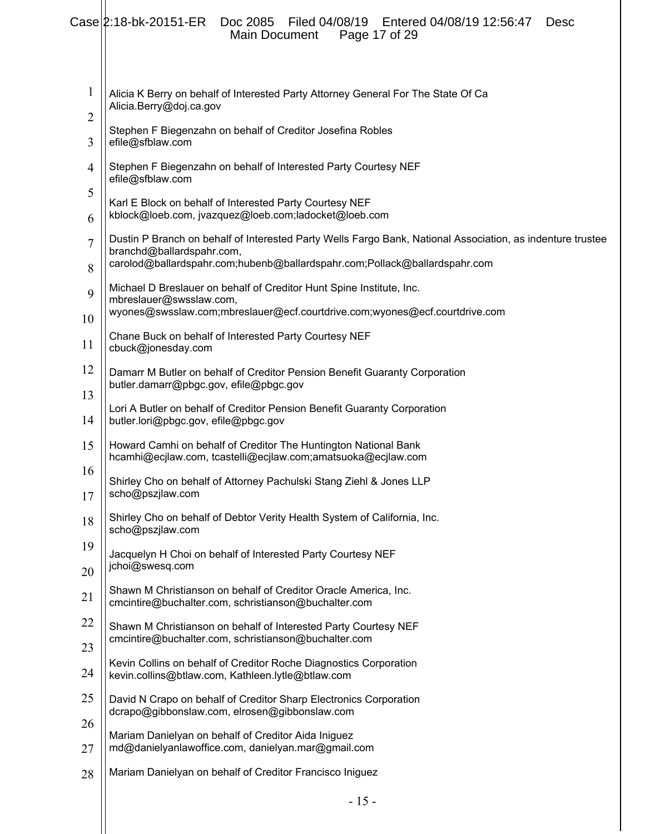|                | Case 2:18-bk-20151-ER<br>Doc 2085 Filed 04/08/19 Entered 04/08/19 12:56:47<br><b>Desc</b><br><b>Main Document</b><br>Page 17 of 29      |  |  |  |  |
|----------------|-----------------------------------------------------------------------------------------------------------------------------------------|--|--|--|--|
| $\mathbf{1}$   | Alicia K Berry on behalf of Interested Party Attorney General For The State Of Ca                                                       |  |  |  |  |
| $\overline{c}$ | Alicia.Berry@doj.ca.gov                                                                                                                 |  |  |  |  |
| 3              | Stephen F Biegenzahn on behalf of Creditor Josefina Robles<br>efile@sfblaw.com                                                          |  |  |  |  |
| $\overline{4}$ | Stephen F Biegenzahn on behalf of Interested Party Courtesy NEF<br>efile@sfblaw.com                                                     |  |  |  |  |
| 5              | Karl E Block on behalf of Interested Party Courtesy NEF                                                                                 |  |  |  |  |
| 6              | kblock@loeb.com, jvazquez@loeb.com;ladocket@loeb.com                                                                                    |  |  |  |  |
| $\overline{7}$ | Dustin P Branch on behalf of Interested Party Wells Fargo Bank, National Association, as indenture trustee<br>branchd@ballardspahr.com, |  |  |  |  |
| 8              | carolod@ballardspahr.com;hubenb@ballardspahr.com;Pollack@ballardspahr.com                                                               |  |  |  |  |
| 9              | Michael D Breslauer on behalf of Creditor Hunt Spine Institute, Inc.<br>mbreslauer@swsslaw.com,                                         |  |  |  |  |
| 10             | wyones@swsslaw.com;mbreslauer@ecf.courtdrive.com;wyones@ecf.courtdrive.com                                                              |  |  |  |  |
| 11             | Chane Buck on behalf of Interested Party Courtesy NEF<br>cbuck@jonesday.com                                                             |  |  |  |  |
| 12             | Damarr M Butler on behalf of Creditor Pension Benefit Guaranty Corporation<br>butler.damarr@pbgc.gov, efile@pbgc.gov                    |  |  |  |  |
| 13             |                                                                                                                                         |  |  |  |  |
| 14             | Lori A Butler on behalf of Creditor Pension Benefit Guaranty Corporation<br>butler.lori@pbgc.gov, efile@pbgc.gov                        |  |  |  |  |
| 15             | Howard Camhi on behalf of Creditor The Huntington National Bank<br>hcamhi@ecjlaw.com, tcastelli@ecjlaw.com;amatsuoka@ecjlaw.com         |  |  |  |  |
| 16<br>17       | Shirley Cho on behalf of Attorney Pachulski Stang Ziehl & Jones LLP<br>scho@pszjlaw.com                                                 |  |  |  |  |
| 18             | Shirley Cho on behalf of Debtor Verity Health System of California, Inc.<br>scho@pszjlaw.com                                            |  |  |  |  |
| 19             | Jacquelyn H Choi on behalf of Interested Party Courtesy NEF<br>jchoi@swesq.com                                                          |  |  |  |  |
| 20<br>21       | Shawn M Christianson on behalf of Creditor Oracle America, Inc.<br>cmcintire@buchalter.com, schristianson@buchalter.com                 |  |  |  |  |
| 22             |                                                                                                                                         |  |  |  |  |
| 23             | Shawn M Christianson on behalf of Interested Party Courtesy NEF<br>cmcintire@buchalter.com, schristianson@buchalter.com                 |  |  |  |  |
| 24             | Kevin Collins on behalf of Creditor Roche Diagnostics Corporation<br>kevin.collins@btlaw.com, Kathleen.lytle@btlaw.com                  |  |  |  |  |
| 25             | David N Crapo on behalf of Creditor Sharp Electronics Corporation<br>dcrapo@gibbonslaw.com, elrosen@gibbonslaw.com                      |  |  |  |  |
| 26             | Mariam Danielyan on behalf of Creditor Aida Iniguez                                                                                     |  |  |  |  |
| 27             | md@danielyanlawoffice.com, danielyan.mar@gmail.com                                                                                      |  |  |  |  |
| 28             | Mariam Danielyan on behalf of Creditor Francisco Iniguez                                                                                |  |  |  |  |
|                | $-15-$                                                                                                                                  |  |  |  |  |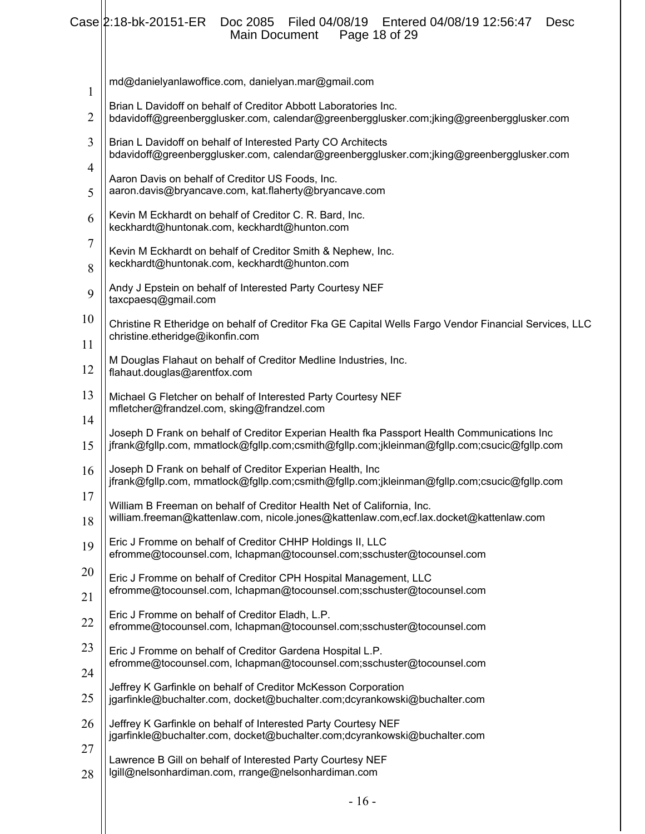### Case 2:18-bk-20151-ER Doc 2085 Filed 04/08/19 Entered 04/08/19 12:56:47 Desc Main Document Page 18 of 29

| 1        | md@danielyanlawoffice.com, danielyan.mar@gmail.com                                                                                                                                        |
|----------|-------------------------------------------------------------------------------------------------------------------------------------------------------------------------------------------|
| 2        | Brian L Davidoff on behalf of Creditor Abbott Laboratories Inc.<br>bdavidoff@greenbergglusker.com, calendar@greenbergglusker.com;jking@greenbergglusker.com                               |
| 3<br>4   | Brian L Davidoff on behalf of Interested Party CO Architects<br>bdavidoff@greenbergglusker.com, calendar@greenbergglusker.com;jking@greenbergglusker.com                                  |
| 5        | Aaron Davis on behalf of Creditor US Foods, Inc.<br>aaron.davis@bryancave.com, kat.flaherty@bryancave.com                                                                                 |
| 6        | Kevin M Eckhardt on behalf of Creditor C. R. Bard, Inc.<br>keckhardt@huntonak.com, keckhardt@hunton.com                                                                                   |
| 7<br>8   | Kevin M Eckhardt on behalf of Creditor Smith & Nephew, Inc.<br>keckhardt@huntonak.com, keckhardt@hunton.com                                                                               |
| 9        | Andy J Epstein on behalf of Interested Party Courtesy NEF<br>taxcpaesq@gmail.com                                                                                                          |
| 10<br>11 | Christine R Etheridge on behalf of Creditor Fka GE Capital Wells Fargo Vendor Financial Services, LLC<br>christine.etheridge@ikonfin.com                                                  |
| 12       | M Douglas Flahaut on behalf of Creditor Medline Industries, Inc.<br>flahaut.douglas@arentfox.com                                                                                          |
| 13       | Michael G Fletcher on behalf of Interested Party Courtesy NEF<br>mfletcher@frandzel.com, sking@frandzel.com                                                                               |
| 14<br>15 | Joseph D Frank on behalf of Creditor Experian Health fka Passport Health Communications Inc<br>jfrank@fgllp.com, mmatlock@fgllp.com;csmith@fgllp.com;jkleinman@fgllp.com;csucic@fgllp.com |
| 16       | Joseph D Frank on behalf of Creditor Experian Health, Inc<br>jfrank@fgllp.com, mmatlock@fgllp.com;csmith@fgllp.com;jkleinman@fgllp.com;csucic@fgllp.com                                   |
| 17<br>18 | William B Freeman on behalf of Creditor Health Net of California, Inc.<br>william.freeman@kattenlaw.com, nicole.jones@kattenlaw.com,ecf.lax.docket@kattenlaw.com                          |
| 19       | Eric J Fromme on behalf of Creditor CHHP Holdings II, LLC<br>efromme@tocounsel.com, lchapman@tocounsel.com;sschuster@tocounsel.com                                                        |
| 20       | Eric J Fromme on behalf of Creditor CPH Hospital Management, LLC<br>efromme@tocounsel.com, lchapman@tocounsel.com;sschuster@tocounsel.com                                                 |
| 21<br>22 | Eric J Fromme on behalf of Creditor Eladh, L.P.<br>efromme@tocounsel.com, lchapman@tocounsel.com;sschuster@tocounsel.com                                                                  |
| 23       | Eric J Fromme on behalf of Creditor Gardena Hospital L.P.<br>efromme@tocounsel.com, lchapman@tocounsel.com;sschuster@tocounsel.com                                                        |
| 24<br>25 | Jeffrey K Garfinkle on behalf of Creditor McKesson Corporation<br>jgarfinkle@buchalter.com, docket@buchalter.com;dcyrankowski@buchalter.com                                               |
| 26       | Jeffrey K Garfinkle on behalf of Interested Party Courtesy NEF                                                                                                                            |
| 27       | jgarfinkle@buchalter.com, docket@buchalter.com;dcyrankowski@buchalter.com<br>Lawrence B Gill on behalf of Interested Party Courtesy NEF                                                   |
| 28       | lgill@nelsonhardiman.com, rrange@nelsonhardiman.com                                                                                                                                       |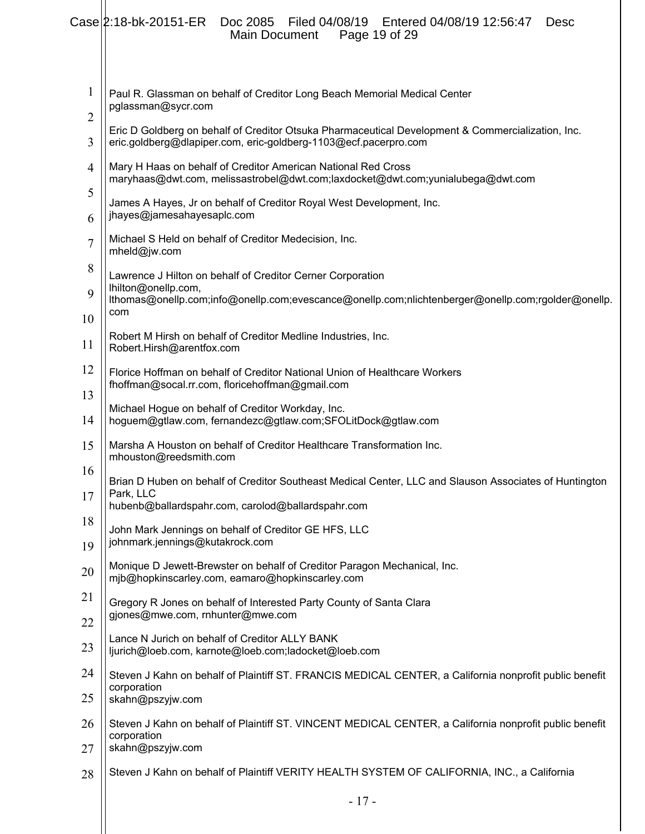|                                | Case 2:18-bk-20151-ER Doc 2085 Filed 04/08/19 Entered 04/08/19 12:56:47<br><b>Desc</b><br>Main Document<br>Page 19 of 29                                             |  |  |  |  |  |
|--------------------------------|----------------------------------------------------------------------------------------------------------------------------------------------------------------------|--|--|--|--|--|
| $\mathbf{1}$<br>$\overline{2}$ | Paul R. Glassman on behalf of Creditor Long Beach Memorial Medical Center<br>pglassman@sycr.com                                                                      |  |  |  |  |  |
| 3                              | Eric D Goldberg on behalf of Creditor Otsuka Pharmaceutical Development & Commercialization, Inc.<br>eric.goldberg@dlapiper.com, eric-goldberg-1103@ecf.pacerpro.com |  |  |  |  |  |
| $\overline{4}$                 | Mary H Haas on behalf of Creditor American National Red Cross<br>maryhaas@dwt.com, melissastrobel@dwt.com;laxdocket@dwt.com;yunialubega@dwt.com                      |  |  |  |  |  |
| 5<br>6                         | James A Hayes, Jr on behalf of Creditor Royal West Development, Inc.<br>jhayes@jamesahayesaplc.com                                                                   |  |  |  |  |  |
| $\overline{7}$                 | Michael S Held on behalf of Creditor Medecision, Inc.<br>mheld@jw.com                                                                                                |  |  |  |  |  |
| 8                              | Lawrence J Hilton on behalf of Creditor Cerner Corporation<br>lhilton@onellp.com,                                                                                    |  |  |  |  |  |
| 9<br>10                        | lthomas@onellp.com;info@onellp.com;evescance@onellp.com;nlichtenberger@onellp.com;rgolder@onellp.<br>com                                                             |  |  |  |  |  |
| 11                             | Robert M Hirsh on behalf of Creditor Medline Industries, Inc.<br>Robert.Hirsh@arentfox.com                                                                           |  |  |  |  |  |
| 12                             | Florice Hoffman on behalf of Creditor National Union of Healthcare Workers<br>fhoffman@socal.rr.com, floricehoffman@gmail.com                                        |  |  |  |  |  |
| 13<br>14                       | Michael Hogue on behalf of Creditor Workday, Inc.<br>hoguem@gtlaw.com, fernandezc@gtlaw.com;SFOLitDock@gtlaw.com                                                     |  |  |  |  |  |
| 15                             | Marsha A Houston on behalf of Creditor Healthcare Transformation Inc.<br>mhouston@reedsmith.com                                                                      |  |  |  |  |  |
| 16<br>17                       | Brian D Huben on behalf of Creditor Southeast Medical Center, LLC and Slauson Associates of Huntington<br>Park, LLC                                                  |  |  |  |  |  |
| 18                             | hubenb@ballardspahr.com, carolod@ballardspahr.com                                                                                                                    |  |  |  |  |  |
| 19                             | John Mark Jennings on behalf of Creditor GE HFS, LLC<br>johnmark.jennings@kutakrock.com                                                                              |  |  |  |  |  |
| 20                             | Monique D Jewett-Brewster on behalf of Creditor Paragon Mechanical, Inc.<br>mjb@hopkinscarley.com, eamaro@hopkinscarley.com                                          |  |  |  |  |  |
| 21<br>22                       | Gregory R Jones on behalf of Interested Party County of Santa Clara<br>gjones@mwe.com, rnhunter@mwe.com                                                              |  |  |  |  |  |
| 23                             | Lance N Jurich on behalf of Creditor ALLY BANK<br>ljurich@loeb.com, karnote@loeb.com;ladocket@loeb.com                                                               |  |  |  |  |  |
| 24                             | Steven J Kahn on behalf of Plaintiff ST. FRANCIS MEDICAL CENTER, a California nonprofit public benefit                                                               |  |  |  |  |  |
| 25                             | corporation<br>skahn@pszyjw.com                                                                                                                                      |  |  |  |  |  |
| 26<br>27                       | Steven J Kahn on behalf of Plaintiff ST. VINCENT MEDICAL CENTER, a California nonprofit public benefit<br>corporation<br>skahn@pszyjw.com                            |  |  |  |  |  |
| 28                             | Steven J Kahn on behalf of Plaintiff VERITY HEALTH SYSTEM OF CALIFORNIA, INC., a California                                                                          |  |  |  |  |  |
|                                | $-17-$                                                                                                                                                               |  |  |  |  |  |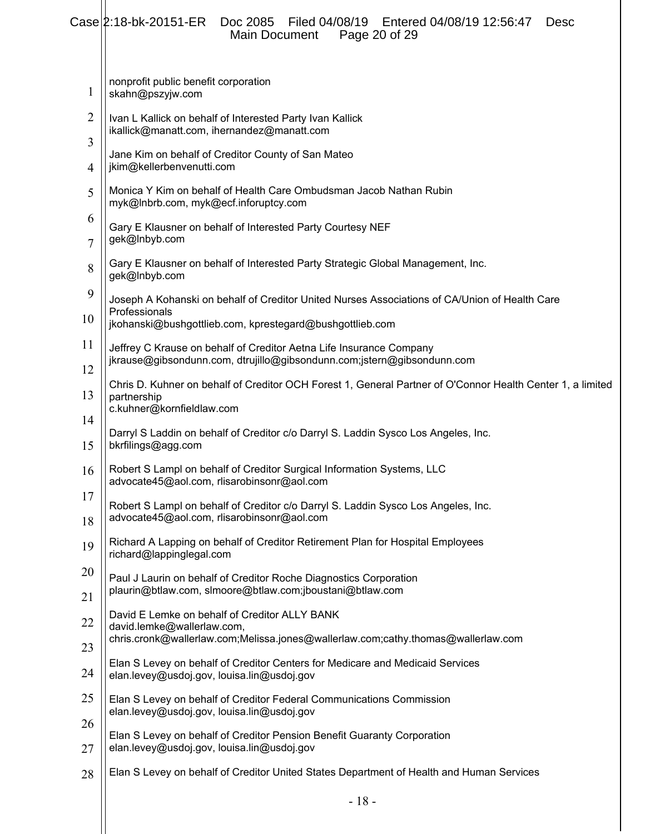|                     | $Case  2:18-bk-20151-ER$<br>Filed 04/08/19    Entered 04/08/19 12:56:47<br>Doc 2085<br><b>Desc</b><br>Page 20 of 29<br>Main Document                   |  |  |  |  |
|---------------------|--------------------------------------------------------------------------------------------------------------------------------------------------------|--|--|--|--|
| 1                   | nonprofit public benefit corporation<br>skahn@pszyjw.com                                                                                               |  |  |  |  |
| $\overline{2}$<br>3 | Ivan L Kallick on behalf of Interested Party Ivan Kallick<br>ikallick@manatt.com, ihernandez@manatt.com                                                |  |  |  |  |
| 4                   | Jane Kim on behalf of Creditor County of San Mateo<br>jkim@kellerbenvenutti.com                                                                        |  |  |  |  |
| 5                   | Monica Y Kim on behalf of Health Care Ombudsman Jacob Nathan Rubin<br>myk@Inbrb.com, myk@ecf.inforuptcy.com                                            |  |  |  |  |
| 6<br>7              | Gary E Klausner on behalf of Interested Party Courtesy NEF<br>gek@Inbyb.com                                                                            |  |  |  |  |
| 8                   | Gary E Klausner on behalf of Interested Party Strategic Global Management, Inc.<br>gek@Inbyb.com                                                       |  |  |  |  |
| 9<br>10             | Joseph A Kohanski on behalf of Creditor United Nurses Associations of CA/Union of Health Care<br>Professionals                                         |  |  |  |  |
| 11                  | jkohanski@bushgottlieb.com, kprestegard@bushgottlieb.com                                                                                               |  |  |  |  |
| 12                  | Jeffrey C Krause on behalf of Creditor Aetna Life Insurance Company<br>jkrause@gibsondunn.com, dtrujillo@gibsondunn.com;jstern@gibsondunn.com          |  |  |  |  |
| 13                  | Chris D. Kuhner on behalf of Creditor OCH Forest 1, General Partner of O'Connor Health Center 1, a limited<br>partnership<br>c.kuhner@kornfieldlaw.com |  |  |  |  |
| 14                  | Darryl S Laddin on behalf of Creditor c/o Darryl S. Laddin Sysco Los Angeles, Inc.                                                                     |  |  |  |  |
| 15                  | bkrfilings@agg.com                                                                                                                                     |  |  |  |  |
| 16                  | Robert S Lampl on behalf of Creditor Surgical Information Systems, LLC<br>advocate45@aol.com, rlisarobinsonr@aol.com                                   |  |  |  |  |
| 17<br>18            | Robert S Lampl on behalf of Creditor c/o Darryl S. Laddin Sysco Los Angeles, Inc.<br>advocate45@aol.com, rlisarobinsonr@aol.com                        |  |  |  |  |
| 19                  | Richard A Lapping on behalf of Creditor Retirement Plan for Hospital Employees<br>richard@lappinglegal.com                                             |  |  |  |  |
| 20                  | Paul J Laurin on behalf of Creditor Roche Diagnostics Corporation<br>plaurin@btlaw.com, slmoore@btlaw.com;jboustani@btlaw.com                          |  |  |  |  |
| 21                  | David E Lemke on behalf of Creditor ALLY BANK                                                                                                          |  |  |  |  |
| 22                  | david.lemke@wallerlaw.com,<br>chris.cronk@wallerlaw.com;Melissa.jones@wallerlaw.com;cathy.thomas@wallerlaw.com                                         |  |  |  |  |
| 23                  | Elan S Levey on behalf of Creditor Centers for Medicare and Medicaid Services                                                                          |  |  |  |  |
| 24                  | elan.levey@usdoj.gov, louisa.lin@usdoj.gov                                                                                                             |  |  |  |  |
| 25<br>26            | Elan S Levey on behalf of Creditor Federal Communications Commission<br>elan.levey@usdoj.gov, louisa.lin@usdoj.gov                                     |  |  |  |  |
| 27                  | Elan S Levey on behalf of Creditor Pension Benefit Guaranty Corporation<br>elan.levey@usdoj.gov, louisa.lin@usdoj.gov                                  |  |  |  |  |
| 28                  | Elan S Levey on behalf of Creditor United States Department of Health and Human Services                                                               |  |  |  |  |
|                     | $-18-$                                                                                                                                                 |  |  |  |  |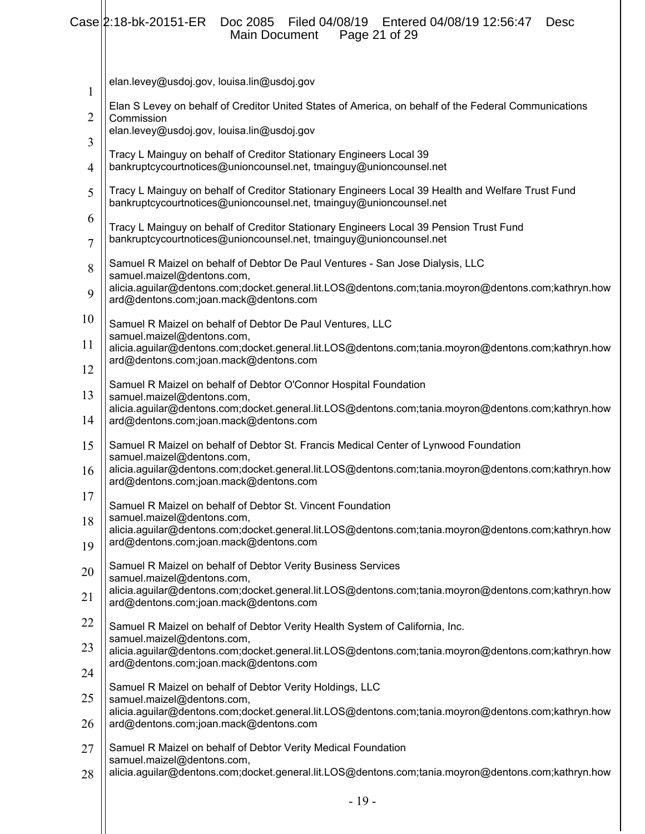|                     | Case 2:18-bk-20151-ER Doc 2085 Filed 04/08/19 Entered 04/08/19 12:56:47<br><b>Desc</b><br>Main Document<br>Page 21 of 29                                                                                                                      |
|---------------------|-----------------------------------------------------------------------------------------------------------------------------------------------------------------------------------------------------------------------------------------------|
| $\mathbf{1}$        | elan.levey@usdoj.gov, louisa.lin@usdoj.gov                                                                                                                                                                                                    |
| 2                   | Elan S Levey on behalf of Creditor United States of America, on behalf of the Federal Communications<br>Commission                                                                                                                            |
| 3                   | elan.levey@usdoj.gov, louisa.lin@usdoj.gov                                                                                                                                                                                                    |
| 4                   | Tracy L Mainguy on behalf of Creditor Stationary Engineers Local 39<br>bankruptcycourtnotices@unioncounsel.net, tmainguy@unioncounsel.net                                                                                                     |
| 5                   | Tracy L Mainguy on behalf of Creditor Stationary Engineers Local 39 Health and Welfare Trust Fund<br>bankruptcycourtnotices@unioncounsel.net, tmainguy@unioncounsel.net                                                                       |
| 6<br>$\overline{7}$ | Tracy L Mainguy on behalf of Creditor Stationary Engineers Local 39 Pension Trust Fund<br>bankruptcycourtnotices@unioncounsel.net, tmainguy@unioncounsel.net                                                                                  |
| 8                   | Samuel R Maizel on behalf of Debtor De Paul Ventures - San Jose Dialysis, LLC<br>samuel.maizel@dentons.com,                                                                                                                                   |
| 9                   | alicia.aguilar@dentons.com;docket.general.lit.LOS@dentons.com;tania.moyron@dentons.com;kathryn.how<br>ard@dentons.com;joan.mack@dentons.com                                                                                                   |
| 10                  | Samuel R Maizel on behalf of Debtor De Paul Ventures, LLC                                                                                                                                                                                     |
| 11                  | samuel.maizel@dentons.com,<br>alicia.aguilar@dentons.com;docket.general.lit.LOS@dentons.com;tania.moyron@dentons.com;kathryn.how                                                                                                              |
| 12                  | ard@dentons.com;joan.mack@dentons.com                                                                                                                                                                                                         |
| 13<br>14            | Samuel R Maizel on behalf of Debtor O'Connor Hospital Foundation<br>samuel.maizel@dentons.com,<br>alicia.aguilar@dentons.com;docket.general.lit.LOS@dentons.com;tania.moyron@dentons.com;kathryn.how<br>ard@dentons.com;joan.mack@dentons.com |
| 15                  | Samuel R Maizel on behalf of Debtor St. Francis Medical Center of Lynwood Foundation                                                                                                                                                          |
| 16                  | samuel.maizel@dentons.com,<br>alicia.aguilar@dentons.com;docket.general.lit.LOS@dentons.com;tania.moyron@dentons.com;kathryn.how<br>ard@dentons.com;joan.mack@dentons.com                                                                     |
| 17                  | Samuel R Maizel on behalf of Debtor St. Vincent Foundation                                                                                                                                                                                    |
| 18                  | samuel.maizel@dentons.com,<br>alicia.aguilar@dentons.com;docket.general.lit.LOS@dentons.com;tania.moyron@dentons.com;kathryn.how                                                                                                              |
| 19                  | ard@dentons.com;joan.mack@dentons.com                                                                                                                                                                                                         |
| 20                  | Samuel R Maizel on behalf of Debtor Verity Business Services<br>samuel.maizel@dentons.com,                                                                                                                                                    |
| 21                  | alicia.aguilar@dentons.com;docket.general.lit.LOS@dentons.com;tania.moyron@dentons.com;kathryn.how<br>ard@dentons.com;joan.mack@dentons.com                                                                                                   |
| 22                  | Samuel R Maizel on behalf of Debtor Verity Health System of California, Inc.<br>samuel.maizel@dentons.com,                                                                                                                                    |
| 23                  | alicia.aguilar@dentons.com;docket.general.lit.LOS@dentons.com;tania.moyron@dentons.com;kathryn.how                                                                                                                                            |
| 24                  | ard@dentons.com;joan.mack@dentons.com                                                                                                                                                                                                         |
| 25                  | Samuel R Maizel on behalf of Debtor Verity Holdings, LLC<br>samuel.maizel@dentons.com,                                                                                                                                                        |
| 26                  | alicia.aguilar@dentons.com;docket.general.lit.LOS@dentons.com;tania.moyron@dentons.com;kathryn.how<br>ard@dentons.com;joan.mack@dentons.com                                                                                                   |
| 27                  | Samuel R Maizel on behalf of Debtor Verity Medical Foundation                                                                                                                                                                                 |
| 28                  | samuel.maizel@dentons.com,<br>alicia.aguilar@dentons.com;docket.general.lit.LOS@dentons.com;tania.moyron@dentons.com;kathryn.how                                                                                                              |
|                     |                                                                                                                                                                                                                                               |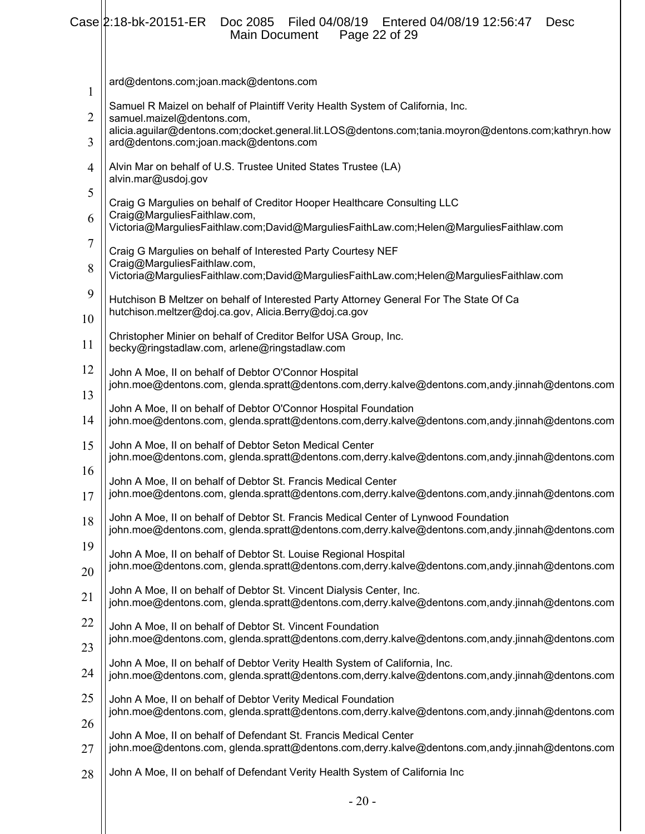|              | $Case  2:18-bk-20151-ER$<br>Doc 2085 Filed 04/08/19 Entered 04/08/19 12:56:47<br>Desc<br>Page 22 of 29<br>Main Document                                                                |  |  |  |  |
|--------------|----------------------------------------------------------------------------------------------------------------------------------------------------------------------------------------|--|--|--|--|
| $\mathbf{1}$ | ard@dentons.com;joan.mack@dentons.com                                                                                                                                                  |  |  |  |  |
| 2            | Samuel R Maizel on behalf of Plaintiff Verity Health System of California, Inc.<br>samuel.maizel@dentons.com,                                                                          |  |  |  |  |
| 3            | alicia.aguilar@dentons.com;docket.general.lit.LOS@dentons.com;tania.moyron@dentons.com;kathryn.how<br>ard@dentons.com;joan.mack@dentons.com                                            |  |  |  |  |
| 4            | Alvin Mar on behalf of U.S. Trustee United States Trustee (LA)<br>alvin.mar@usdoj.gov                                                                                                  |  |  |  |  |
| 5            | Craig G Margulies on behalf of Creditor Hooper Healthcare Consulting LLC                                                                                                               |  |  |  |  |
| 6            | Craig@MarguliesFaithlaw.com,<br>Victoria@MarguliesFaithlaw.com;David@MarguliesFaithLaw.com;Helen@MarguliesFaithlaw.com                                                                 |  |  |  |  |
| 7            | Craig G Margulies on behalf of Interested Party Courtesy NEF                                                                                                                           |  |  |  |  |
| 8            | Craig@MarguliesFaithlaw.com,<br>Victoria@MarguliesFaithlaw.com;David@MarguliesFaithLaw.com;Helen@MarguliesFaithlaw.com                                                                 |  |  |  |  |
| 9            | Hutchison B Meltzer on behalf of Interested Party Attorney General For The State Of Ca<br>hutchison.meltzer@doj.ca.gov, Alicia.Berry@doj.ca.gov                                        |  |  |  |  |
| 10           | Christopher Minier on behalf of Creditor Belfor USA Group, Inc.                                                                                                                        |  |  |  |  |
| 11           | becky@ringstadlaw.com, arlene@ringstadlaw.com                                                                                                                                          |  |  |  |  |
| 12<br>13     | John A Moe, II on behalf of Debtor O'Connor Hospital<br>john.moe@dentons.com, glenda.spratt@dentons.com,derry.kalve@dentons.com,andy.jinnah@dentons.com                                |  |  |  |  |
| 14           | John A Moe, II on behalf of Debtor O'Connor Hospital Foundation<br>john.moe@dentons.com, glenda.spratt@dentons.com,derry.kalve@dentons.com,andy.jinnah@dentons.com                     |  |  |  |  |
| 15           | John A Moe, II on behalf of Debtor Seton Medical Center<br>john.moe@dentons.com, glenda.spratt@dentons.com,derry.kalve@dentons.com,andy.jinnah@dentons.com                             |  |  |  |  |
| 16<br>17     | John A Moe, II on behalf of Debtor St. Francis Medical Center<br>john.moe@dentons.com, glenda.spratt@dentons.com,derry.kalve@dentons.com,andy.jinnah@dentons.com                       |  |  |  |  |
| 18           | John A Moe, II on behalf of Debtor St. Francis Medical Center of Lynwood Foundation<br>john.moe@dentons.com, glenda.spratt@dentons.com,derry.kalve@dentons.com,andy.jinnah@dentons.com |  |  |  |  |
| 19           | John A Moe, II on behalf of Debtor St. Louise Regional Hospital<br>john.moe@dentons.com, glenda.spratt@dentons.com,derry.kalve@dentons.com,andy.jinnah@dentons.com                     |  |  |  |  |
| 20           | John A Moe, II on behalf of Debtor St. Vincent Dialysis Center, Inc.                                                                                                                   |  |  |  |  |
| 21           | john.moe@dentons.com, glenda.spratt@dentons.com,derry.kalve@dentons.com,andy.jinnah@dentons.com                                                                                        |  |  |  |  |
| 22           | John A Moe, II on behalf of Debtor St. Vincent Foundation<br>john.moe@dentons.com, glenda.spratt@dentons.com,derry.kalve@dentons.com,andy.jinnah@dentons.com                           |  |  |  |  |
| 23           | John A Moe, II on behalf of Debtor Verity Health System of California, Inc.                                                                                                            |  |  |  |  |
| 24           | john.moe@dentons.com, glenda.spratt@dentons.com,derry.kalve@dentons.com,andy.jinnah@dentons.com                                                                                        |  |  |  |  |
| 25           | John A Moe, II on behalf of Debtor Verity Medical Foundation<br>john.moe@dentons.com, glenda.spratt@dentons.com,derry.kalve@dentons.com,andy.jinnah@dentons.com                        |  |  |  |  |
| 26<br>27     | John A Moe, II on behalf of Defendant St. Francis Medical Center<br>john.moe@dentons.com, glenda.spratt@dentons.com,derry.kalve@dentons.com,andy.jinnah@dentons.com                    |  |  |  |  |
| 28           | John A Moe, II on behalf of Defendant Verity Health System of California Inc                                                                                                           |  |  |  |  |
|              | $-20-$                                                                                                                                                                                 |  |  |  |  |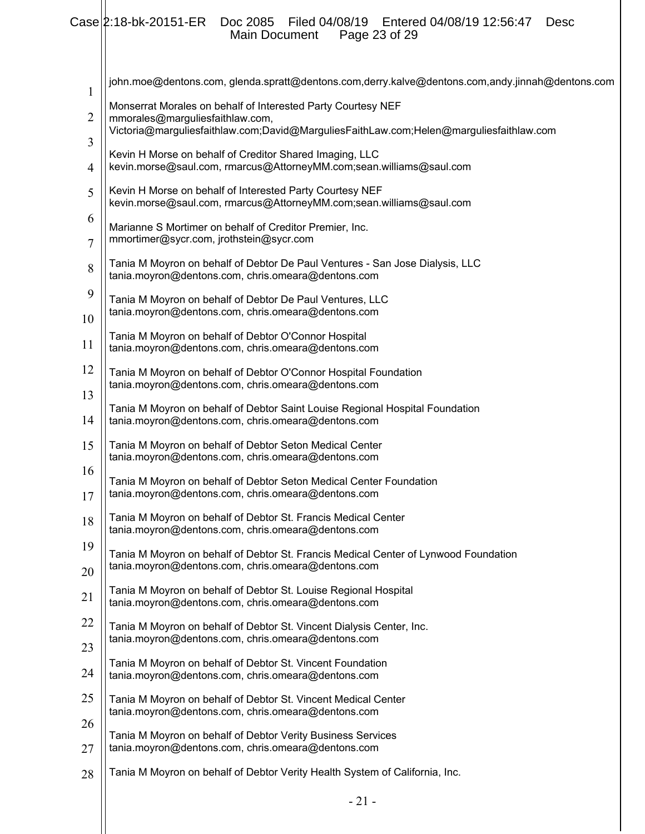# Case 2:18-bk-20151-ER Doc 2085 Filed 04/08/19 Entered 04/08/19 12:56:47 Desc

Main Document Page 23 of 29

 $\mathsf{I}$ 

| $\mathbf{1}$ | john.moe@dentons.com, glenda.spratt@dentons.com,derry.kalve@dentons.com,andy.jinnah@dentons.com                                                                                           |
|--------------|-------------------------------------------------------------------------------------------------------------------------------------------------------------------------------------------|
| 2            | Monserrat Morales on behalf of Interested Party Courtesy NEF<br>mmorales@marguliesfaithlaw.com,<br>Victoria@marguliesfaithlaw.com;David@MarguliesFaithLaw.com;Helen@marguliesfaithlaw.com |
| 3            | Kevin H Morse on behalf of Creditor Shared Imaging, LLC                                                                                                                                   |
| 4            | kevin.morse@saul.com, rmarcus@AttorneyMM.com;sean.williams@saul.com                                                                                                                       |
| 5            | Kevin H Morse on behalf of Interested Party Courtesy NEF<br>kevin.morse@saul.com, rmarcus@AttorneyMM.com;sean.williams@saul.com                                                           |
| 6<br>7       | Marianne S Mortimer on behalf of Creditor Premier, Inc.<br>mmortimer@sycr.com, jrothstein@sycr.com                                                                                        |
| 8            | Tania M Moyron on behalf of Debtor De Paul Ventures - San Jose Dialysis, LLC<br>tania.moyron@dentons.com, chris.omeara@dentons.com                                                        |
| 9<br>10      | Tania M Moyron on behalf of Debtor De Paul Ventures, LLC<br>tania.moyron@dentons.com, chris.omeara@dentons.com                                                                            |
| 11           | Tania M Moyron on behalf of Debtor O'Connor Hospital<br>tania.moyron@dentons.com, chris.omeara@dentons.com                                                                                |
| 12<br>13     | Tania M Moyron on behalf of Debtor O'Connor Hospital Foundation<br>tania.moyron@dentons.com, chris.omeara@dentons.com                                                                     |
| 14           | Tania M Moyron on behalf of Debtor Saint Louise Regional Hospital Foundation<br>tania.moyron@dentons.com, chris.omeara@dentons.com                                                        |
| 15           | Tania M Moyron on behalf of Debtor Seton Medical Center<br>tania.moyron@dentons.com, chris.omeara@dentons.com                                                                             |
| 16<br>17     | Tania M Moyron on behalf of Debtor Seton Medical Center Foundation<br>tania.moyron@dentons.com, chris.omeara@dentons.com                                                                  |
| 18           | Tania M Moyron on behalf of Debtor St. Francis Medical Center<br>tania.moyron@dentons.com, chris.omeara@dentons.com                                                                       |
| 19<br>20     | Tania M Moyron on behalf of Debtor St. Francis Medical Center of Lynwood Foundation<br>tania.moyron@dentons.com, chris.omeara@dentons.com                                                 |
| 21           | Tania M Moyron on behalf of Debtor St. Louise Regional Hospital<br>tania.moyron@dentons.com, chris.omeara@dentons.com                                                                     |
| 22           | Tania M Moyron on behalf of Debtor St. Vincent Dialysis Center, Inc.                                                                                                                      |
| 23           | tania.moyron@dentons.com, chris.omeara@dentons.com                                                                                                                                        |
| 24           | Tania M Moyron on behalf of Debtor St. Vincent Foundation<br>tania.moyron@dentons.com, chris.omeara@dentons.com                                                                           |
| 25           | Tania M Moyron on behalf of Debtor St. Vincent Medical Center<br>tania.moyron@dentons.com, chris.omeara@dentons.com                                                                       |
| 26           | Tania M Moyron on behalf of Debtor Verity Business Services                                                                                                                               |
| 27           | tania.moyron@dentons.com, chris.omeara@dentons.com                                                                                                                                        |
| 28           | Tania M Moyron on behalf of Debtor Verity Health System of California, Inc.                                                                                                               |
|              |                                                                                                                                                                                           |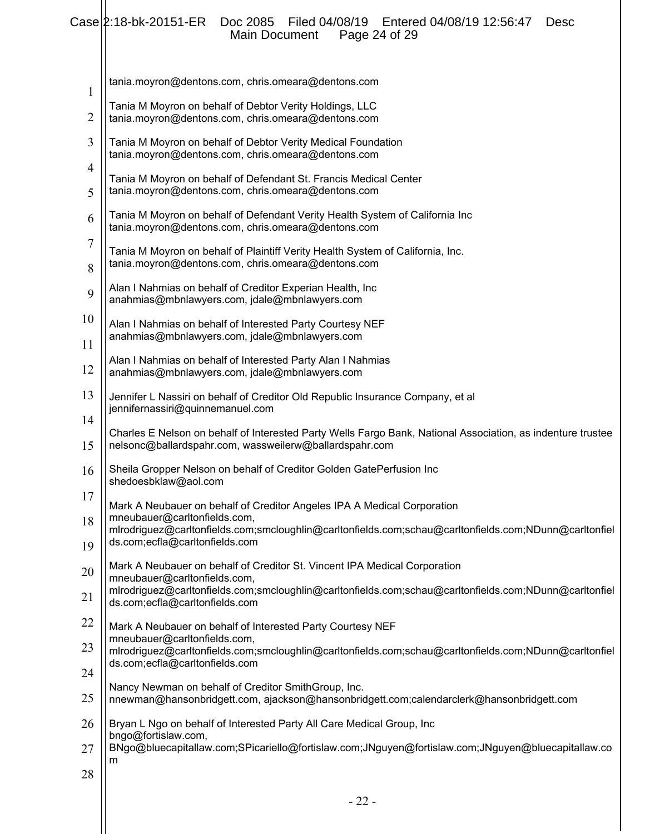|  |                             | Case 2:18-bk-20151-ER Doc 2085 Filed 04/08/19 Entered 04/08/19 12:56:47 Desc |  |
|--|-----------------------------|------------------------------------------------------------------------------|--|
|  | Main Document Page 24 of 29 |                                                                              |  |

| $\mathbf{1}$        | tania.moyron@dentons.com, chris.omeara@dentons.com                                                                                                                                                                 |
|---------------------|--------------------------------------------------------------------------------------------------------------------------------------------------------------------------------------------------------------------|
| $\overline{2}$      | Tania M Moyron on behalf of Debtor Verity Holdings, LLC<br>tania.moyron@dentons.com, chris.omeara@dentons.com                                                                                                      |
| 3                   | Tania M Moyron on behalf of Debtor Verity Medical Foundation<br>tania.moyron@dentons.com, chris.omeara@dentons.com                                                                                                 |
| $\overline{4}$<br>5 | Tania M Moyron on behalf of Defendant St. Francis Medical Center<br>tania.moyron@dentons.com, chris.omeara@dentons.com                                                                                             |
| 6                   | Tania M Moyron on behalf of Defendant Verity Health System of California Inc<br>tania.moyron@dentons.com, chris.omeara@dentons.com                                                                                 |
| 7<br>8              | Tania M Moyron on behalf of Plaintiff Verity Health System of California, Inc.<br>tania.moyron@dentons.com, chris.omeara@dentons.com                                                                               |
| 9                   | Alan I Nahmias on behalf of Creditor Experian Health, Inc<br>anahmias@mbnlawyers.com, jdale@mbnlawyers.com                                                                                                         |
| 10                  | Alan I Nahmias on behalf of Interested Party Courtesy NEF<br>anahmias@mbnlawyers.com, jdale@mbnlawyers.com                                                                                                         |
| 11<br>12            | Alan I Nahmias on behalf of Interested Party Alan I Nahmias<br>anahmias@mbnlawyers.com, jdale@mbnlawyers.com                                                                                                       |
| 13                  | Jennifer L Nassiri on behalf of Creditor Old Republic Insurance Company, et al<br>jennifernassiri@quinnemanuel.com                                                                                                 |
| 14<br>15            | Charles E Nelson on behalf of Interested Party Wells Fargo Bank, National Association, as indenture trustee<br>nelsonc@ballardspahr.com, wassweilerw@ballardspahr.com                                              |
| 16                  | Sheila Gropper Nelson on behalf of Creditor Golden GatePerfusion Inc<br>shedoesbklaw@aol.com                                                                                                                       |
| 17<br>18            | Mark A Neubauer on behalf of Creditor Angeles IPA A Medical Corporation<br>mneubauer@carltonfields.com,                                                                                                            |
| 19                  | mlrodriguez@carltonfields.com;smcloughlin@carltonfields.com;schau@carltonfields.com;NDunn@carltonfiel<br>ds.com;ecfla@carltonfields.com                                                                            |
| 20                  | Mark A Neubauer on behalf of Creditor St. Vincent IPA Medical Corporation<br>mneubauer@carltonfields.com,<br>mlrodriguez@carltonfields.com;smcloughlin@carltonfields.com;schau@carltonfields.com;NDunn@carltonfiel |
| 21<br>22            | ds.com;ecfla@carltonfields.com                                                                                                                                                                                     |
| 23                  | Mark A Neubauer on behalf of Interested Party Courtesy NEF<br>mneubauer@carltonfields.com,<br>mlrodriguez@carltonfields.com;smcloughlin@carltonfields.com;schau@carltonfields.com;NDunn@carltonfiel                |
| 24                  | ds.com;ecfla@carltonfields.com<br>Nancy Newman on behalf of Creditor SmithGroup, Inc.                                                                                                                              |
| 25<br>26            | nnewman@hansonbridgett.com, ajackson@hansonbridgett.com;calendarclerk@hansonbridgett.com<br>Bryan L Ngo on behalf of Interested Party All Care Medical Group, Inc                                                  |
| 27                  | bngo@fortislaw.com,<br>BNgo@bluecapitallaw.com;SPicariello@fortislaw.com;JNguyen@fortislaw.com;JNguyen@bluecapitallaw.co<br>m                                                                                      |
| 28                  | oο                                                                                                                                                                                                                 |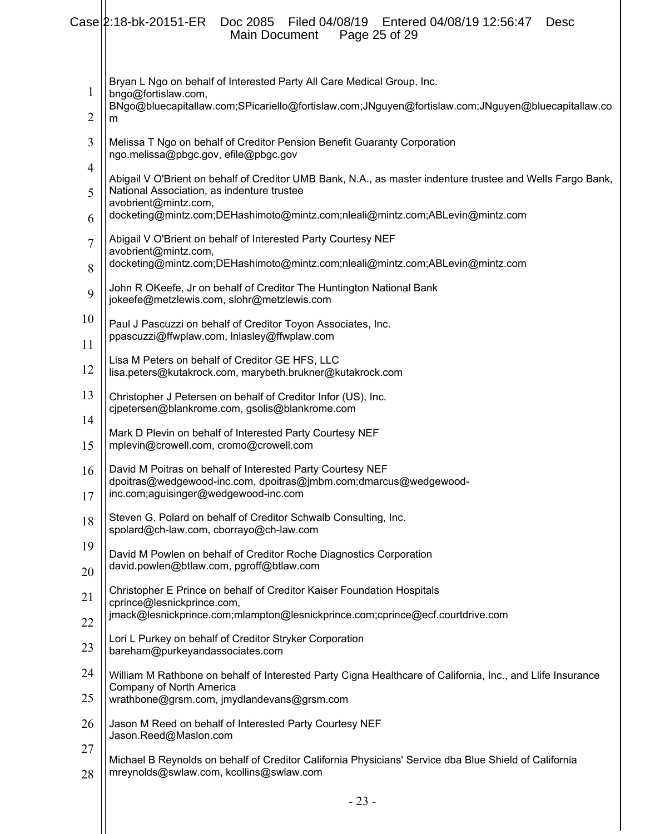|                     | Case 2:18-bk-20151-ER<br>Filed 04/08/19 Entered 04/08/19 12:56:47<br>Doc 2085<br><b>Desc</b><br>Page 25 of 29<br>Main Document                                         |
|---------------------|------------------------------------------------------------------------------------------------------------------------------------------------------------------------|
| 1                   | Bryan L Ngo on behalf of Interested Party All Care Medical Group, Inc.<br>bngo@fortislaw.com,                                                                          |
| 2                   | BNgo@bluecapitallaw.com;SPicariello@fortislaw.com;JNguyen@fortislaw.com;JNguyen@bluecapitallaw.co<br>m                                                                 |
| 3                   | Melissa T Ngo on behalf of Creditor Pension Benefit Guaranty Corporation<br>ngo.melissa@pbgc.gov, efile@pbgc.gov                                                       |
| $\overline{4}$<br>5 | Abigail V O'Brient on behalf of Creditor UMB Bank, N.A., as master indenture trustee and Wells Fargo Bank,<br>National Association, as indenture trustee               |
| 6                   | avobrient@mintz.com,<br>docketing@mintz.com;DEHashimoto@mintz.com;nleali@mintz.com;ABLevin@mintz.com                                                                   |
| 7                   | Abigail V O'Brient on behalf of Interested Party Courtesy NEF<br>avobrient@mintz.com,                                                                                  |
| 8                   | docketing@mintz.com;DEHashimoto@mintz.com;nleali@mintz.com;ABLevin@mintz.com                                                                                           |
| 9                   | John R OKeefe, Jr on behalf of Creditor The Huntington National Bank<br>jokeefe@metzlewis.com, slohr@metzlewis.com                                                     |
| 10                  | Paul J Pascuzzi on behalf of Creditor Toyon Associates, Inc.                                                                                                           |
| 11                  | ppascuzzi@ffwplaw.com, Inlasley@ffwplaw.com                                                                                                                            |
| 12                  | Lisa M Peters on behalf of Creditor GE HFS, LLC<br>lisa.peters@kutakrock.com, marybeth.brukner@kutakrock.com                                                           |
| 13                  | Christopher J Petersen on behalf of Creditor Infor (US), Inc.<br>cjpetersen@blankrome.com, gsolis@blankrome.com                                                        |
| 14<br>15            | Mark D Plevin on behalf of Interested Party Courtesy NEF<br>mplevin@crowell.com, cromo@crowell.com                                                                     |
| 16<br>17            | David M Poitras on behalf of Interested Party Courtesy NEF<br>dpoitras@wedgewood-inc.com, dpoitras@jmbm.com;dmarcus@wedgewood-<br>inc.com;aguisinger@wedgewood-inc.com |
| 18                  | Steven G. Polard on behalf of Creditor Schwalb Consulting, Inc.<br>spolard@ch-law.com, cborrayo@ch-law.com                                                             |
| 19                  | David M Powlen on behalf of Creditor Roche Diagnostics Corporation                                                                                                     |
| 20                  | david.powlen@btlaw.com, pgroff@btlaw.com                                                                                                                               |
| 21                  | Christopher E Prince on behalf of Creditor Kaiser Foundation Hospitals<br>cprince@lesnickprince.com,                                                                   |
| 22                  | jmack@lesnickprince.com;mlampton@lesnickprince.com;cprince@ecf.courtdrive.com                                                                                          |
| 23                  | Lori L Purkey on behalf of Creditor Stryker Corporation<br>bareham@purkeyandassociates.com                                                                             |
| 24                  | William M Rathbone on behalf of Interested Party Cigna Healthcare of California, Inc., and Llife Insurance                                                             |
| 25                  | Company of North America<br>wrathbone@grsm.com, jmydlandevans@grsm.com                                                                                                 |
| 26                  | Jason M Reed on behalf of Interested Party Courtesy NEF<br>Jason.Reed@Maslon.com                                                                                       |
| 27                  | Michael B Reynolds on behalf of Creditor California Physicians' Service dba Blue Shield of California                                                                  |
| 28                  | mreynolds@swlaw.com, kcollins@swlaw.com                                                                                                                                |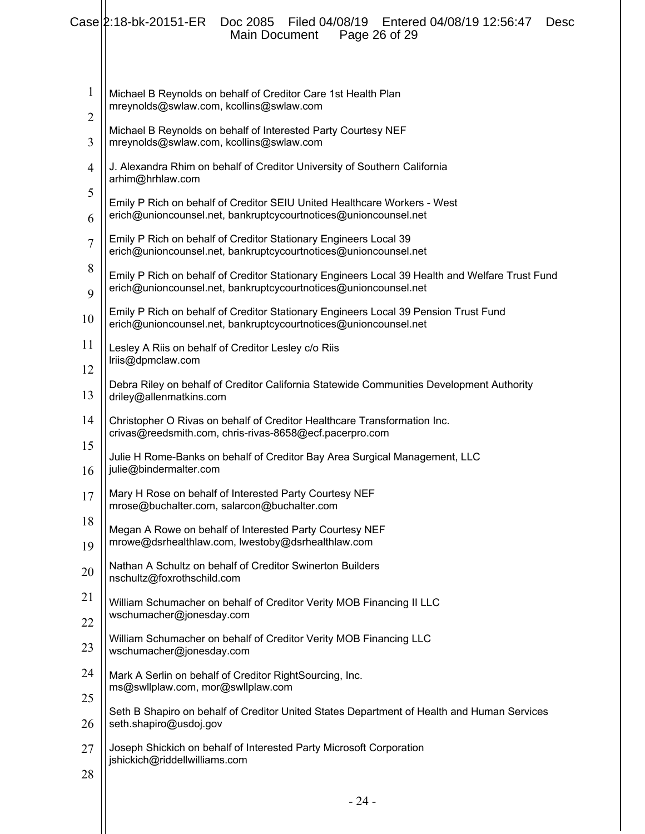|                     | Case 2:18-bk-20151-ER<br>Filed 04/08/19<br>Entered 04/08/19 12:56:47<br>Doc 2085<br>Desc<br>Page 26 of 29<br><b>Main Document</b>                                 |
|---------------------|-------------------------------------------------------------------------------------------------------------------------------------------------------------------|
| 1                   | Michael B Reynolds on behalf of Creditor Care 1st Health Plan<br>mreynolds@swlaw.com, kcollins@swlaw.com                                                          |
| $\overline{c}$<br>3 | Michael B Reynolds on behalf of Interested Party Courtesy NEF<br>mreynolds@swlaw.com, kcollins@swlaw.com                                                          |
| $\overline{4}$      | J. Alexandra Rhim on behalf of Creditor University of Southern California<br>arhim@hrhlaw.com                                                                     |
| 5                   | Emily P Rich on behalf of Creditor SEIU United Healthcare Workers - West<br>erich@unioncounsel.net, bankruptcycourtnotices@unioncounsel.net                       |
| 6<br>$\overline{7}$ | Emily P Rich on behalf of Creditor Stationary Engineers Local 39                                                                                                  |
| 8                   | erich@unioncounsel.net, bankruptcycourtnotices@unioncounsel.net                                                                                                   |
| 9                   | Emily P Rich on behalf of Creditor Stationary Engineers Local 39 Health and Welfare Trust Fund<br>erich@unioncounsel.net, bankruptcycourtnotices@unioncounsel.net |
| 10                  | Emily P Rich on behalf of Creditor Stationary Engineers Local 39 Pension Trust Fund<br>erich@unioncounsel.net, bankruptcycourtnotices@unioncounsel.net            |
| 11                  | Lesley A Riis on behalf of Creditor Lesley c/o Riis                                                                                                               |
| 12                  | Iriis@dpmclaw.com                                                                                                                                                 |
| 13                  | Debra Riley on behalf of Creditor California Statewide Communities Development Authority<br>driley@allenmatkins.com                                               |
| 14                  | Christopher O Rivas on behalf of Creditor Healthcare Transformation Inc.<br>crivas@reedsmith.com, chris-rivas-8658@ecf.pacerpro.com                               |
| 15<br>16            | Julie H Rome-Banks on behalf of Creditor Bay Area Surgical Management, LLC<br>julie@bindermalter.com                                                              |
| 17                  | Mary H Rose on behalf of Interested Party Courtesy NEF<br>mrose@buchalter.com, salarcon@buchalter.com                                                             |
| 18                  | Megan A Rowe on behalf of Interested Party Courtesy NEF                                                                                                           |
| 19                  | mrowe@dsrhealthlaw.com, lwestoby@dsrhealthlaw.com                                                                                                                 |
| 20                  | Nathan A Schultz on behalf of Creditor Swinerton Builders<br>nschultz@foxrothschild.com                                                                           |
| 21                  | William Schumacher on behalf of Creditor Verity MOB Financing II LLC                                                                                              |
| 22                  | wschumacher@jonesday.com                                                                                                                                          |
| 23                  | William Schumacher on behalf of Creditor Verity MOB Financing LLC<br>wschumacher@jonesday.com                                                                     |
| 24                  | Mark A Serlin on behalf of Creditor RightSourcing, Inc.<br>ms@swllplaw.com, mor@swllplaw.com                                                                      |
| 25                  | Seth B Shapiro on behalf of Creditor United States Department of Health and Human Services                                                                        |
| 26                  | seth.shapiro@usdoj.gov                                                                                                                                            |
| 27                  | Joseph Shickich on behalf of Interested Party Microsoft Corporation<br>jshickich@riddellwilliams.com                                                              |
| 28                  |                                                                                                                                                                   |
|                     | $-24-$                                                                                                                                                            |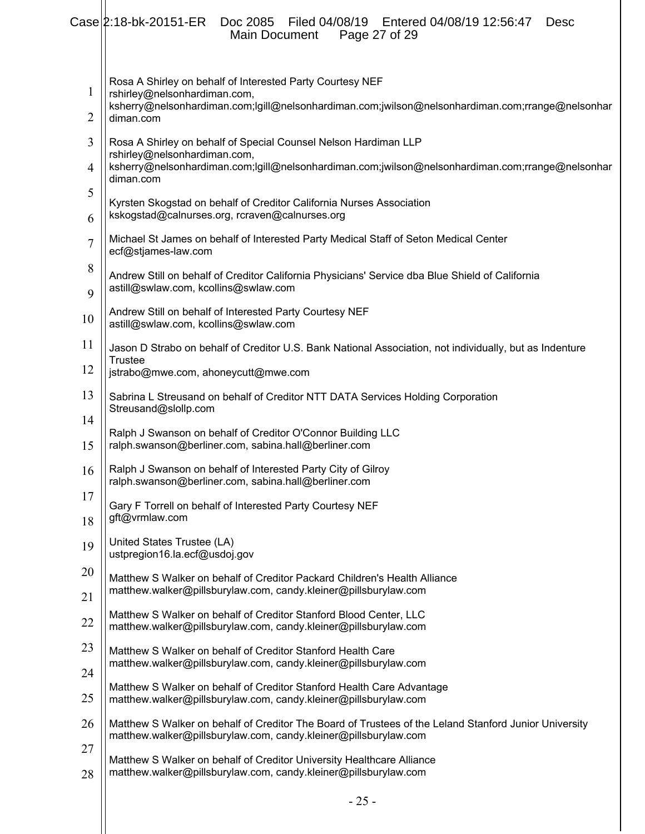|                | Case 2:18-bk-20151-ER<br>Filed 04/08/19    Entered 04/08/19 12:56:47<br>Doc 2085<br><b>Desc</b><br><b>Main Document</b><br>Page 27 of 29                                                                        |
|----------------|-----------------------------------------------------------------------------------------------------------------------------------------------------------------------------------------------------------------|
| $\mathbf{1}$   | Rosa A Shirley on behalf of Interested Party Courtesy NEF<br>rshirley@nelsonhardiman.com,<br>ksherry@nelsonhardiman.com;lgill@nelsonhardiman.com;jwilson@nelsonhardiman.com;rrange@nelsonhar<br>diman.com       |
| $\overline{2}$ |                                                                                                                                                                                                                 |
| 3              | Rosa A Shirley on behalf of Special Counsel Nelson Hardiman LLP<br>rshirley@nelsonhardiman.com,<br>ksherry@nelsonhardiman.com;lgill@nelsonhardiman.com;jwilson@nelsonhardiman.com;rrange@nelsonhar<br>diman.com |
| $\overline{4}$ |                                                                                                                                                                                                                 |
| 5              | Kyrsten Skogstad on behalf of Creditor California Nurses Association                                                                                                                                            |
| 6              | kskogstad@calnurses.org, rcraven@calnurses.org                                                                                                                                                                  |
| $\overline{7}$ | Michael St James on behalf of Interested Party Medical Staff of Seton Medical Center<br>ecf@stjames-law.com                                                                                                     |
| 8              | Andrew Still on behalf of Creditor California Physicians' Service dba Blue Shield of California<br>astill@swlaw.com, kcollins@swlaw.com                                                                         |
| 9              | Andrew Still on behalf of Interested Party Courtesy NEF                                                                                                                                                         |
| 10             | astill@swlaw.com, kcollins@swlaw.com                                                                                                                                                                            |
| 11             | Jason D Strabo on behalf of Creditor U.S. Bank National Association, not individually, but as Indenture<br><b>Trustee</b>                                                                                       |
| 12             | jstrabo@mwe.com, ahoneycutt@mwe.com                                                                                                                                                                             |
| 13             | Sabrina L Streusand on behalf of Creditor NTT DATA Services Holding Corporation<br>Streusand@slollp.com                                                                                                         |
| 14             | Ralph J Swanson on behalf of Creditor O'Connor Building LLC                                                                                                                                                     |
| 15             | ralph.swanson@berliner.com, sabina.hall@berliner.com                                                                                                                                                            |
| 16             | Ralph J Swanson on behalf of Interested Party City of Gilroy<br>ralph.swanson@berliner.com, sabina.hall@berliner.com                                                                                            |
| 17             | Gary F Torrell on behalf of Interested Party Courtesy NEF                                                                                                                                                       |
| 18             | gft@vrmlaw.com                                                                                                                                                                                                  |
| 19             | United States Trustee (LA)<br>ustpregion16.la.ecf@usdoj.gov                                                                                                                                                     |
| 20             | Matthew S Walker on behalf of Creditor Packard Children's Health Alliance                                                                                                                                       |
| 21             | matthew.walker@pillsburylaw.com, candy.kleiner@pillsburylaw.com                                                                                                                                                 |
| 22             | Matthew S Walker on behalf of Creditor Stanford Blood Center, LLC<br>matthew.walker@pillsburylaw.com, candy.kleiner@pillsburylaw.com                                                                            |
| 23             | Matthew S Walker on behalf of Creditor Stanford Health Care<br>matthew.walker@pillsburylaw.com, candy.kleiner@pillsburylaw.com                                                                                  |
| 24             |                                                                                                                                                                                                                 |
| 25             | Matthew S Walker on behalf of Creditor Stanford Health Care Advantage<br>matthew.walker@pillsburylaw.com, candy.kleiner@pillsburylaw.com                                                                        |
| 26             | Matthew S Walker on behalf of Creditor The Board of Trustees of the Leland Stanford Junior University<br>matthew.walker@pillsburylaw.com, candy.kleiner@pillsburylaw.com                                        |
| 27             | Matthew S Walker on behalf of Creditor University Healthcare Alliance                                                                                                                                           |
| 28             | matthew.walker@pillsburylaw.com, candy.kleiner@pillsburylaw.com                                                                                                                                                 |
|                |                                                                                                                                                                                                                 |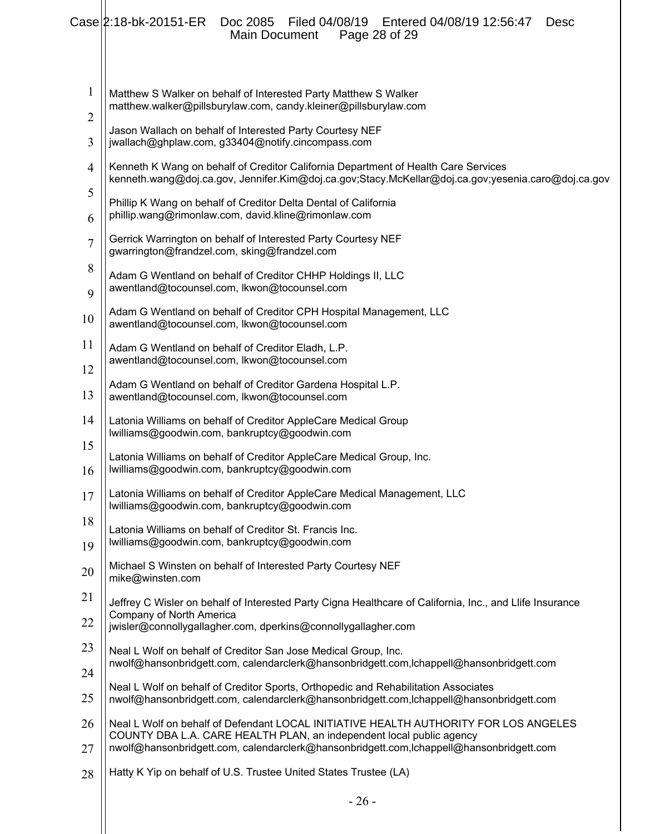|                                | Case 2:18-bk-20151-ER<br>Filed 04/08/19   Entered 04/08/19 12:56:47<br>Doc 2085<br><b>Desc</b><br>Main Document<br>Page 28 of 29                                                                                                                        |
|--------------------------------|---------------------------------------------------------------------------------------------------------------------------------------------------------------------------------------------------------------------------------------------------------|
| $\mathbf{1}$<br>$\overline{2}$ | Matthew S Walker on behalf of Interested Party Matthew S Walker<br>matthew.walker@pillsburylaw.com, candy.kleiner@pillsburylaw.com                                                                                                                      |
| 3                              | Jason Wallach on behalf of Interested Party Courtesy NEF<br>jwallach@ghplaw.com, g33404@notify.cincompass.com                                                                                                                                           |
| $\overline{4}$                 | Kenneth K Wang on behalf of Creditor California Department of Health Care Services<br>kenneth.wang@doj.ca.gov, Jennifer.Kim@doj.ca.gov;Stacy.McKellar@doj.ca.gov;yesenia.caro@doj.ca.gov                                                                |
| 5<br>6                         | Phillip K Wang on behalf of Creditor Delta Dental of California<br>phillip.wang@rimonlaw.com, david.kline@rimonlaw.com                                                                                                                                  |
| $\overline{7}$                 | Gerrick Warrington on behalf of Interested Party Courtesy NEF<br>gwarrington@frandzel.com, sking@frandzel.com                                                                                                                                           |
| 8<br>9                         | Adam G Wentland on behalf of Creditor CHHP Holdings II, LLC<br>awentland@tocounsel.com, lkwon@tocounsel.com                                                                                                                                             |
| 10                             | Adam G Wentland on behalf of Creditor CPH Hospital Management, LLC<br>awentland@tocounsel.com, lkwon@tocounsel.com                                                                                                                                      |
| 11                             | Adam G Wentland on behalf of Creditor Eladh, L.P.<br>awentland@tocounsel.com, lkwon@tocounsel.com                                                                                                                                                       |
| 12<br>13                       | Adam G Wentland on behalf of Creditor Gardena Hospital L.P.<br>awentland@tocounsel.com, lkwon@tocounsel.com                                                                                                                                             |
| 14                             | Latonia Williams on behalf of Creditor AppleCare Medical Group<br>lwilliams@goodwin.com, bankruptcy@goodwin.com                                                                                                                                         |
| 15<br>16                       | Latonia Williams on behalf of Creditor AppleCare Medical Group, Inc.<br>lwilliams@goodwin.com, bankruptcy@goodwin.com                                                                                                                                   |
| 17                             | Latonia Williams on behalf of Creditor AppleCare Medical Management, LLC<br>lwilliams@goodwin.com, bankruptcy@goodwin.com                                                                                                                               |
| 18<br>19                       | Latonia Williams on behalf of Creditor St. Francis Inc.<br>lwilliams@goodwin.com, bankruptcy@goodwin.com                                                                                                                                                |
| 20                             | Michael S Winsten on behalf of Interested Party Courtesy NEF<br>mike@winsten.com                                                                                                                                                                        |
| 21                             | Jeffrey C Wisler on behalf of Interested Party Cigna Healthcare of California, Inc., and Llife Insurance<br>Company of North America                                                                                                                    |
| 22                             | jwisler@connollygallagher.com, dperkins@connollygallagher.com                                                                                                                                                                                           |
| 23<br>24                       | Neal L Wolf on behalf of Creditor San Jose Medical Group, Inc.<br>nwolf@hansonbridgett.com, calendarclerk@hansonbridgett.com,lchappell@hansonbridgett.com                                                                                               |
| 25                             | Neal L Wolf on behalf of Creditor Sports, Orthopedic and Rehabilitation Associates<br>nwolf@hansonbridgett.com, calendarclerk@hansonbridgett.com,lchappell@hansonbridgett.com                                                                           |
| 26<br>27                       | Neal L Wolf on behalf of Defendant LOCAL INITIATIVE HEALTH AUTHORITY FOR LOS ANGELES<br>COUNTY DBA L.A. CARE HEALTH PLAN, an independent local public agency<br>nwolf@hansonbridgett.com, calendarclerk@hansonbridgett.com,lchappell@hansonbridgett.com |
| 28                             | Hatty K Yip on behalf of U.S. Trustee United States Trustee (LA)                                                                                                                                                                                        |
|                                | $-26-$                                                                                                                                                                                                                                                  |